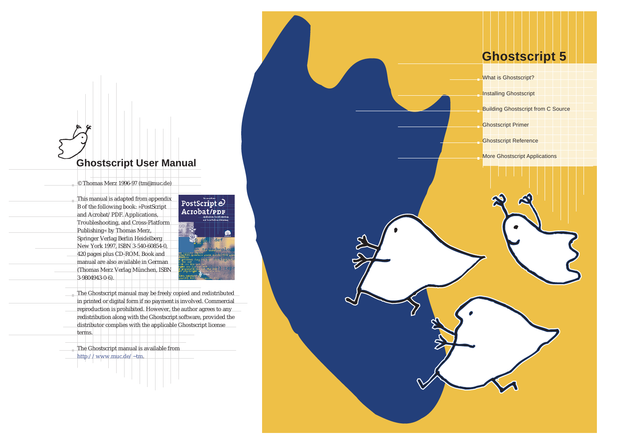# **Ghostscript User Manual**

© Thomas Merz 1996-97 (tm@muc.de)

This manual is adapted from appendix B of the following book: »PostScript and Acrobat/PDF. Applications, Troubleshooting, and Cross-Platform Publishing« by Thomas Merz, Springer Verlag Berlin Heidelberg New York 1997, ISBN 3-540-60854-0, 420 pages plus CD-ROM. Book and manual are also available in German (Thomas Merz Verlag München, ISBN 3-9804943-0-6).



The Ghostscript manual may be freely copied and redistributed in printed or digital form if no payment is involved. Commercial reproduction is prohibited. However, the author agrees to any redistribution along with the Ghostscript software, provided the distributor complies with the applicable Ghostscript license terms.

The Ghostscript manual is available from [http://www.muc.de/~tm.](http://www.muc.de/~tm)

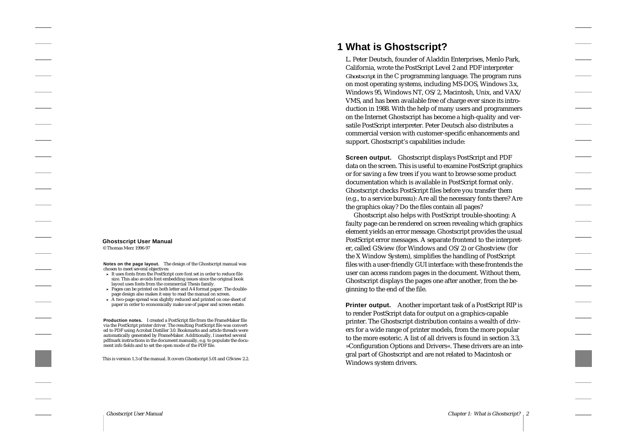#### <span id="page-1-0"></span>**Ghostscript User Manual**

© Thomas Merz 1996-97

**Notes on the page layout.** The design of the Ghostscript manual was chosen to meet several objectives:

- ➤ It uses fonts from the PostScript core font set in order to reduce file size. This also avoids font embedding issues since the original book layout uses fonts from the commercial Thesis family.
- ➤ Pages can be printed on both letter and A4 format paper. The doublepage design also makes it easy to read the manual on screen.
- ➤ A two-page spread was slightly reduced and printed on one sheet of paper in order to economically make use of paper and screen estate.

**Production notes.** I created a PostScript file from the FrameMaker file via the PostScript printer driver. The resulting PostScript file was converted to PDF using Acrobat Distiller 3.0. Bookmarks and article threads were automatically generated by FrameMaker. Additionally, I inserted several pdfmark instructions in the document manually, e.g. to populate the document info fields and to set the open mode of the PDF file.

This is version 1.3 of the manual. It covers Ghostscript 5.01 and GSview 2.2.

## **1 What is Ghostscript?**

L. Peter Deutsch, founder of Aladdin Enterprises, Menlo Park, California, wrote the PostScript Level 2 and PDF interpreter *Ghostscript* in the C programming language. The program runs on most operating systems, including MS-DOS, Windows 3.x, Windows 95, Windows NT, OS/2, Macintosh, Unix, and VAX/ VMS, and has been available free of charge ever since its introduction in 1988. With the help of many users and programmers on the Internet Ghostscript has become a high-quality and versatile PostScript interpreter. Peter Deutsch also distributes a commercial version with customer-specific enhancements and support. Ghostscript's capabilities include:

**Screen output.** Ghostscript displays PostScript and PDF data on the screen. This is useful to examine PostScript graphics or for saving a few trees if you want to browse some product documentation which is available in PostScript format only. Ghostscript checks PostScript files before you transfer them (e.g., to a service bureau): Are all the necessary fonts there? Are the graphics okay? Do the files contain all pages?

Ghostscript also helps with PostScript trouble-shooting: A faulty page can be rendered on screen revealing which graphics element yields an error message. Ghostscript provides the usual PostScript error messages. A separate frontend to the interpreter, called GSview (for Windows and OS/2) or Ghostview (for the X Window System), simplifies the handling of PostScript files with a user-friendly GUI interface: with these frontends the user can access random pages in the document. Without them, Ghostscript displays the pages one after another, from the beginning to the end of the file.

**Printer output.** Another important task of a PostScript RIP is to render PostScript data for output on a graphics-capable printer. The Ghostscript distribution contains a wealth of drivers for a wide range of printer models, from the more popular to the more esoteric. A list of all drivers is found in [section 3.3,](#page-10-0)  [»Configuration Options and Drivers«](#page-10-0). These drivers are an integral part of Ghostscript and are not related to Macintosh or Windows system drivers.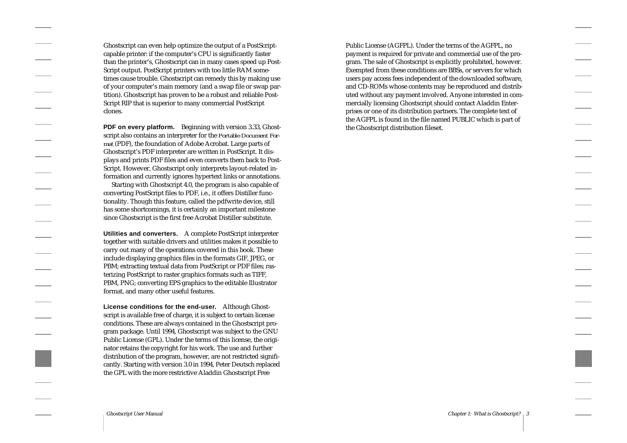Ghostscript can even help optimize the output of a PostScriptcapable printer: if the computer's CPU is significantly faster than the printer's, Ghostscript can in many cases speed up Post-Script output. PostScript printers with too little RAM sometimes cause trouble. Ghostscript can remedy this by making use of your computer's main memory (and a swap file or swap partition). Ghostscript has proven to be a robust and reliable Post-Script RIP that is superior to many commercial PostScript clones.

**PDF on every platform.** Beginning with version 3.33, Ghostscript also contains an interpreter for the *Portable Document Format* (PDF), the foundation of Adobe Acrobat. Large parts of Ghostscript's PDF interpreter are written in PostScript. It displays and prints PDF files and even converts them back to Post-Script. However, Ghostscript only interprets layout-related information and currently ignores hypertext links or annotations.

Starting with Ghostscript 4.0, the program is also capable of converting PostScript files to PDF, i.e., it offers Distiller functionality. Though this feature, called the pdfwrite device, still has some shortcomings, it is certainly an important milestone since Ghostscript is the first free Acrobat Distiller substitute.

**Utilities and converters.** A complete PostScript interpreter together with suitable drivers and utilities makes it possible to carry out many of the operations covered in this book. These include displaying graphics files in the formats GIF, JPEG, or PBM; extracting textual data from PostScript or PDF files; rasterizing PostScript to raster graphics formats such as TIFF, PBM, PNG; converting EPS graphics to the editable Illustrator format, and many other useful features.

**License conditions for the end-user.** Although Ghostscript is available free of charge, it is subject to certain license conditions. These are always contained in the Ghostscript program package. Until 1994, Ghostscript was subject to the GNU Public License (GPL). Under the terms of this license, the originator retains the copyright for his work. The use and further distribution of the program, however, are not restricted significantly. Starting with version 3.0 in 1994, Peter Deutsch replaced the GPL with the more restrictive Aladdin Ghostscript Free

Public License (AGFPL). Under the terms of the AGFPL, no payment is required for private and commercial use of the program. The sale of Ghostscript is explicitly prohibited, however. Exempted from these conditions are BBSs, or servers for which users pay access fees independent of the downloaded software, and CD-ROMs whose contents may be reproduced and distributed without any payment involved. Anyone interested in commercially licensing Ghostscript should contact Aladdin Enterprises or one of its distribution partners. The complete text of the AGFPL is found in the file named PUBLIC which is part of the Ghostscript distribution fileset.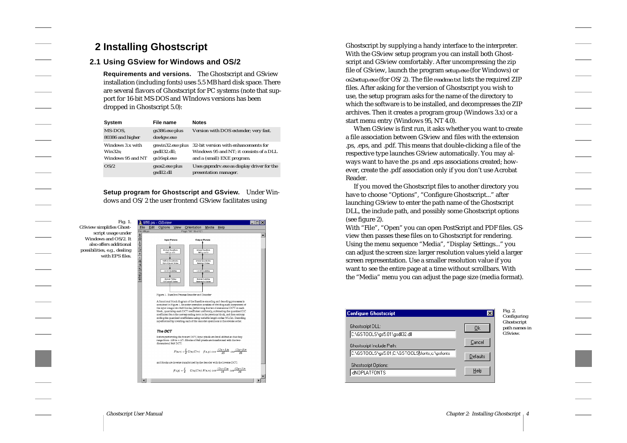## <span id="page-3-0"></span>**2 Installing Ghostscript**

## **2.1 Using GSview for Windows and OS/2**

**Requirements and versions.** The Ghostscript and GSview installation (including fonts) uses 5.5 MB hard disk space. There are several flavors of Ghostscript for PC systems (note that support for 16-bit MS-DOS and WIndows versions has been dropped in Ghostscript 5.0):

| System                                              | File name                                       | <b>Notes</b>                                                                                                  |
|-----------------------------------------------------|-------------------------------------------------|---------------------------------------------------------------------------------------------------------------|
| MS-DOS.<br>80386 and higher                         | gs386.exe plus<br>dos4gw.exe                    | Version with DOS extender; very fast.                                                                         |
| Windows 3.x with<br>$Win32s$ :<br>Windows 95 and NT | gswin32.exe plus<br>gsdll32.dll;<br>gs16spl.exe | 32-bit version with enhancements for<br>Windows 95 and NT; it consists of a DLL<br>and a (small) EXE program. |
| OS/2                                                | gsos2.exe plus<br>gsdll2.dll                    | Uses gspmdrv.exe as display driver for the<br>presentation manager.                                           |

**Setup program for Ghostscript and GSview.** Under Windows and OS/2 the user frontend GSview facilitates using

*Fig. 1. GSview simplifies Ghostscript usage under Windows and OS/2. It also offers additionalpossibilities, e.g., dealing with EPS files.*

|                                          |      | tiff6.ps - GSview                                                                                                                                                                     |      |                                                                  |                                                                                                                                                       |                                                                                                                                                                                                                                                                                                                                                                                                                                                                                                                                                                                                                                                                                          |  |
|------------------------------------------|------|---------------------------------------------------------------------------------------------------------------------------------------------------------------------------------------|------|------------------------------------------------------------------|-------------------------------------------------------------------------------------------------------------------------------------------------------|------------------------------------------------------------------------------------------------------------------------------------------------------------------------------------------------------------------------------------------------------------------------------------------------------------------------------------------------------------------------------------------------------------------------------------------------------------------------------------------------------------------------------------------------------------------------------------------------------------------------------------------------------------------------------------------|--|
| File                                     | Edit | <b>Options</b>                                                                                                                                                                        | View | Orientation                                                      | Media                                                                                                                                                 | Help                                                                                                                                                                                                                                                                                                                                                                                                                                                                                                                                                                                                                                                                                     |  |
|                                          |      |                                                                                                                                                                                       |      | Page: "96" 96 of 121                                             |                                                                                                                                                       |                                                                                                                                                                                                                                                                                                                                                                                                                                                                                                                                                                                                                                                                                          |  |
| File: titl6.ps<br>888003d5 55 1+ G-1- BB |      | <b>Input Picture</b><br>Parent Transferm<br><b>Building</b> Turboy<br>Unificate Guantiturino<br>Up to d Quant, Tables<br>1 c c C medicino<br><b>Eutroy Cotton</b><br>2 EC m6 AC Taxes |      | Output Picture<br>Figure 1. Baseline Process Encoder and Decoder | <b>Dress Transferm</b><br>882 E III CT<br>firese Quantitation<br><b>Received Stables</b><br>1-E ECTI edician<br>flutroy Dending<br>Sective 2+2 Tables | A functional block diagram of the Baseline encoding and decoding processes is<br>contained in Figure 1. Encoder operation consists of dividing each component of<br>the input image into 8x8 blocks, performing the two-dimensional DCT on each<br>block, quantizing each DCT coefficient uniformly, subtracting the quantized DC                                                                                                                                                                                                                                                                                                                                                        |  |
|                                          |      | The DCT<br>dimensional 8x8 DCT:                                                                                                                                                       |      |                                                                  |                                                                                                                                                       | coefficient from the corresponding term in the previous block, and then entropy<br>coding the quantized coefficients using variable length codes (VLCs). Decoding<br>is performed by inverting each of the encoder coerations in the reverse order.<br>Before performing the foward DCT, input pixels are level-shifted so that they<br>range from $-128$ to $+127$ . Blocks of 8x8 pixels are transformed with the two-<br>$F(u,v) = \frac{1}{4} C(u) C(v)$ $f(x,y) cos \frac{(2x+1)u}{16} cos \frac{(2y+1)v}{16}$<br>and blocks are inverse transformed by the decoder with the Inverse DCT.<br>$f(x,y) = \frac{1}{4}$ $C(u)C(v) F(u,v) cos \frac{(2x+1)u}{16} cos \frac{(2y+1)v}{16}$ |  |

Ghostscript by supplying a handy interface to the interpreter. With the GSview setup program you can install both Ghostscript and GSview comfortably. After uncompressing the zip file of GSview, launch the program *setup.exe* (for Windows) or *os2setup.exe* (for OS/2). The file *readme.txt* lists the required ZIP files. After asking for the version of Ghostscript you wish to use, the setup program asks for the name of the directory to which the software is to be installed, and decompresses the ZIP archives. Then it creates a program group (Windows 3.x) or a start menu entry (Windows 95, NT 4.0).

When GSview is first run, it asks whether you want to create a file association between GSview and files with the extension .ps, .eps, and .pdf. This means that double-clicking a file of the respective type launches GSview automatically. You may always want to have the .ps and .eps associations created; however, create the .pdf association only if you don't use Acrobat Reader.

If you moved the Ghostscript files to another directory you have to choose "Options", "Configure Ghostscript..." after launching GSview to enter the path name of the Ghostscript DLL, the include path, and possibly some Ghostscript options (see figure 2).

With "File", "Open" you can open PostScript and PDF files. GSview then passes these files on to Ghostscript for rendering. Using the menu sequence "Media", "Display Settings..." you can adjust the screen size: larger resolution values yield a larger screen representation. Use a smaller resolution value if you want to see the entire page at a time without scrollbars. With the "Media" menu you can adjust the page size (media format).

| <b>Configure Ghostscript</b>                  | ×        | ŀ |
|-----------------------------------------------|----------|---|
| <b>Ghostscript DLL:</b>                       | Ūk       |   |
| C:\GSTOOLS\gs5.01\gsdll32.dll                 |          |   |
| Ghostscript Include Path:                     | Cancel   |   |
| C:\GST00LS\gs5.01;C:\GST00LS\fonts;c:\psfonts | Defaults |   |
| <b>Ghostscript Options:</b>                   |          |   |
| -INOPLATFONTS                                 | Help     |   |
|                                               |          |   |

*Fig. 2. Configuring Ghostscript path names in GSview.*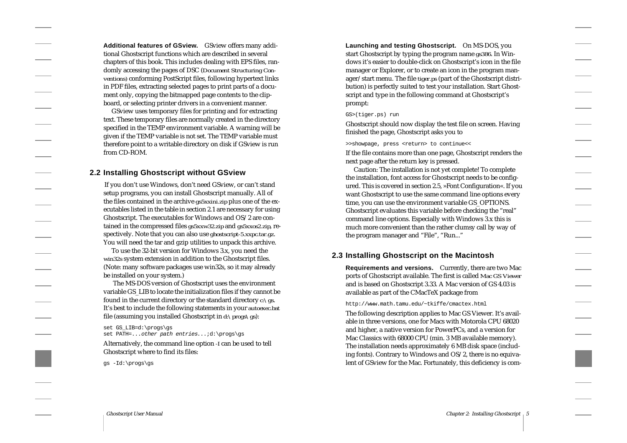**Additional features of GSview.** GSview offers many additional Ghostscript functions which are described in several chapters of this book. This includes dealing with EPS files, randomly accessing the pages of DSC (*Document Structuring Conventions)* conforming PostScript files, following hypertext links in PDF files, extracting selected pages to print parts of a document only, copying the bitmapped page contents to the clipboard, or selecting printer drivers in a convenient manner.

GSview uses temporary files for printing and for extracting text. These temporary files are normally created in the directory specified in the TEMP environment variable. A warning will be given if the TEMP variable is not set. The TEMP variable must therefore point to a writable directory on disk if GSview is run from CD-ROM.

## **2.2 Installing Ghostscript without GSview**

If you don't use Windows, don't need GSview, or can't stand setup programs, you can install Ghostscript manually. All of the files contained in the archive *gs5xxini.zip* plus one of the executables listed in the table in [section 2.1](#page-3-0) are necessary for using Ghostscript. The executables for Windows and OS/2 are contained in the compressed files *gs5xxw32.zip* and *gs5xxos2.zip*, respectively. Note that you can also use *ghostscript-5.xxpc.tar.gz*. You will need the tar and gzip utilities to unpack this archive.

To use the 32-bit version for Windows 3.x, you need the *win32s* system extension in addition to the Ghostscript files. (Note: many software packages use win32s, so it may already be installed on your system.)

 The MS-DOS version of Ghostscript uses the environment variable GS\_LIB to locate the initialization files if they cannot be found in the current directory or the standard directory *c:\gs*. It's best to include the following statements in your *autoexec.bat* file (assuming you installed Ghostscript in *d:\progs\gs*):

set GS\_LIB=d:\progs\gs

set PATH=...other path entries...;d:\progs\gs

Alternatively, the command line option *-I* can be used to tell Ghostscript where to find its files:

gs -Id:\progs\gs

**Launching and testing Ghostscript.** On MS-DOS, you start Ghostscript by typing the program name *gs386*. In Windows it's easier to double-click on Ghostscript's icon in the file manager or Explorer, or to create an icon in the program manager/start menu. The file *tiger.ps* (part of the Ghostscript distribution) is perfectly suited to test your installation. Start Ghostscript and type in the following command at Ghostscript's prompt:

#### GS>(tiger.ps) run

Ghostscript should now display the test file on screen. Having finished the page, Ghostscript asks you to

>>showpage, press <return> to continue<<

If the file contains more than one page, Ghostscript renders the next page after the return key is pressed.

Caution: The installation is not yet complete! To complete the installation, font access for Ghostscript needs to be configured. This is covered in [section 2.5, »Font Configuration«](#page-6-0). If you want Ghostscript to use the same command line options every time, you can use the environment variable GS\_OPTIONS. Ghostscript evaluates this variable before checking the "real" command line options. Especially with Windows 3.x this is much more convenient than the rather clumsy call by way of the program manager and "File", "Run..."

## **2.3 Installing Ghostscript on the Macintosh**

**Requirements and versions.** Currently, there are two Mac ports of Ghostscript available. The first is called *Mac GS Viewer* and is based on Ghostscript 3.33. A Mac version of GS 4.03 is available as part of the CMacTeX package from

http://www.math.tamu.edu/~tkiffe/cmactex.html

The following description applies to Mac GS Viewer. It's available in three versions, one for Macs with Motorola CPU 68020 and higher, a native version for PowerPCs, and a version for Mac Classics with 68000 CPU (min. 3 MB available memory). The installation needs approximately 6 MB disk space (including fonts). Contrary to Windows and OS/2, there is no equivalent of GSview for the Mac. Fortunately, this deficiency is com-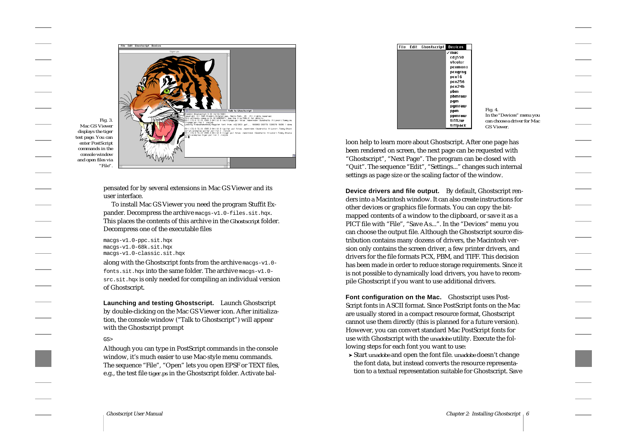

*Fig. 3. Mac GS Viewer displays the tiger test page. You can enter PostScript commands in the console window and open files via "File".*

> pensated for by several extensions in Mac GS Viewer and its user interface.

To install Mac GS Viewer you need the program Stuffit Expander. Decompress the archive macgs-v1.0-files.sit.hqx. This places the contents of this archive in the *Ghostscript* folder. Decompress one of the executable files

macgs-v1.0-ppc.sit.hqx macgs-v1.0-68k.sit.hqx macgs-v1.0-classic.sit.hqx

along with the Ghostscript fonts from the archive macgs-v1.0 fonts.sit.hqx into the same folder. The archive macgs-v1.0 src.sit.hqx is only needed for compiling an individual version of Ghostscript.

**Launching and testing Ghostscript.** Launch Ghostscript by double-clicking on the Mac GS Viewer icon. After initialization, the console window ("Talk to Ghostscript") will appear with the Ghostscript prompt

#### GS>

Although you can type in PostScript commands in the console window, it's much easier to use Mac-style menu commands. The sequence "File", "Open" lets you open EPSF or TEXT files, e.g., the test file *tiger.ps* in the Ghostscript folder. Activate bal-

| Devices  | Ghostscript |  |  | Edit |  | ïle |  |
|----------|-------------|--|--|------|--|-----|--|
| ∽mac     |             |  |  |      |  |     |  |
| cd i550  |             |  |  |      |  |     |  |
| stcolor  |             |  |  |      |  |     |  |
| pcxmono  |             |  |  |      |  |     |  |
| pcxarau  |             |  |  |      |  |     |  |
| рсн16    |             |  |  |      |  |     |  |
| рсн256   |             |  |  |      |  |     |  |
| рсн24b   |             |  |  |      |  |     |  |
| pbm      |             |  |  |      |  |     |  |
| pbmraw   |             |  |  |      |  |     |  |
| pgm      |             |  |  |      |  |     |  |
| pgmraw   |             |  |  |      |  |     |  |
| ppm      |             |  |  |      |  |     |  |
| ppmraw   |             |  |  |      |  |     |  |
| tifflzw  |             |  |  |      |  |     |  |
| tiffpack |             |  |  |      |  |     |  |
|          |             |  |  |      |  |     |  |

*Fig. 4. In the "Devices" menu you can choose a driver for Mac GS Viewer.*

a doon help to learn more about Ghostscript. After one page has<br>been rendered on screen, the next page can be requested with<br>"Chostscript", "Next Page". The program can be closed with<br>"Quit". The sequence "Edit", "Settings

**Device drivers and file output.** By default, Ghostscript ren ders into a Macintosh window. It can also create instructions for other devices or graphics file formats. You can copy the bit mapped contents of a window to the clipboard, or save it as a PICT file with "File", "Save As...". In the "Devices" menu you can choose the output file. Although the Ghostscript source dis tribution contains many dozens of drivers, the Macintosh ver sion only contains the screen driver, a few printer drivers, and<br>drivers for the file formats PCX, PBM, and TIFF. This decision<br>has been made in order to reduce storage requirements. Since it<br>is not possible to dynamically pile Ghostscript if you want to use additional drivers.

**Font configuration on the Mac.** Ghostscript uses Post- Script fonts in ASCII format. Since PostScript fonts on the Mac<br>are usually stored in a compact resource format, Ghostscript<br>cannot use them directly (this is planned for a future version).<br>However, you can convert standar lowing steps for each font you want to use:

➤Start *unadobe* and open the font file. *unadobe* doesn't change the font data, but instead converts the resource representa tion to a textual representation suitable for Ghostscript. Save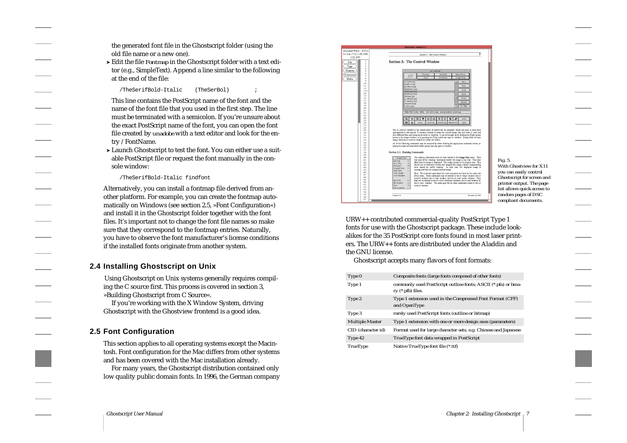<span id="page-6-0"></span>the generated font file in the Ghostscript folder (using the old file name or a new one).

➤Edit the file *Fontmap* in the Ghostscript folder with a text editor (e.g., SimpleText). Append a line similar to the following at the end of the file:

/TheSerifBold-Italic (TheSerBol) ;

This line contains the PostScript name of the font and the name of the font file that you used in the first step. The line must be terminated with a semicolon. If you're unsure about the exact PostScript name of the font, you can open the font file created by *unadobe* with a text editor and look for the entry /FontName.

➤Launch Ghostscript to test the font. You can either use a suitable PostScript file or request the font manually in the console window:

#### /TheSerifBold-Italic findfont

Alternatively, you can install a fontmap file derived from another platform. For example, you can create the fontmap automatically on Windows (see section 2.5, »Font Configuration«) and install it in the Ghostscript folder together with the font files. It's important not to change the font file names so make sure that they correspond to the fontmap entries. Naturally, you have to observe the font manufacturer's license conditions if the installed fonts originate from another system.

## **2.4 Installing Ghostscript on Unix**

Using Ghostscript on Unix systems generally requires compiling the C source first. This process is covered in [section 3,](#page-8-0)  [»Building Ghostscript from C Source«](#page-8-0).

If you're working with the X Window System, driving Ghostscript with the Ghostview frontend is a good idea.

## **2.5 Font Configuration**

This section applies to all operating systems except the Macintosh. Font configuration for the Mac differs from other systems and has been covered with the Mac installation already.

For many years, the Ghostscript distribution contained only low quality public domain fonts. In 1996, the German company



*Fig. 5. With Ghostview for X11 you can easily control Ghostscript for screen and printer output. The page list allows quick access to random pages of DSC compliant documents.*

URW++ contributed commercial-quality PostScript Type 1 fonts for use with the Ghostscript package. These include lookalikes for the 35 PostScript core fonts found in most laser printers. The URW++ fonts are distributed under the Aladdin and the GNU license.

Ghostscript accepts many flavors of font formats:

| Type 0                 | Composite fonts (large fonts composed of other fonts)                                 |
|------------------------|---------------------------------------------------------------------------------------|
| Type 1                 | commonly used PostScript outline fonts; ASCII (*.pfa) or bina-<br>$ry$ (*.pfb) files. |
| Type 2                 | Type 1 extension used in the Compressed Font Format (CFF)<br>and OpenType             |
| Type 3                 | rarely used PostScript fonts (outline or bitmap)                                      |
| <b>Multiple Master</b> | Type 1 extension with one or more design axes (parameters)                            |
| CID (character id)     | Format used for large character sets, e.g. Chinese and Japanese                       |
| Type 42                | TrueType font data wrapped in PostScript                                              |
| <b>TrueType</b>        | Native TrueType font file (*.ttf)                                                     |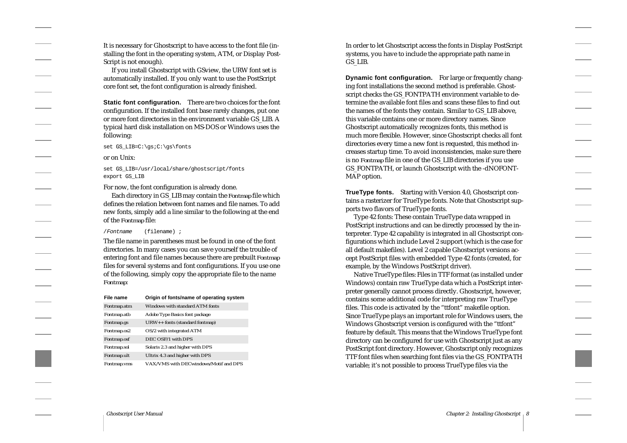It is necessary for Ghostscript to have access to the font file (installing the font in the operating system, ATM, or Display Post-Script is not enough).

If you install Ghostscript with GSview, the URW font set is automatically installed. If you only want to use the PostScript core font set, the font configuration is already finished.

**Static font configuration.** There are two choices for the font configuration. If the installed font base rarely changes, put one or more font directories in the environment variable GS\_LIB. A typical hard disk installation on MS-DOS or Windows uses the following:

set GS\_LIB=C:\qs;C:\qs\fonts

or on Unix:

set GS\_LIB=/usr/local/share/ghostscript/fonts export GS\_LIB

For now, the font configuration is already done.

Each directory in GS\_LIB may contain the *Fontmap* file which defines the relation between font names and file names. To add new fonts, simply add a line similar to the following at the end of the *Fontmap* file:

/Fontname (filename) ;

The file name in parentheses must be found in one of the font directories. In many cases you can save yourself the trouble of entering font and file names because there are prebuilt *Fontmap* files for several systems and font configurations. If you use one of the following, simply copy the appropriate file to the name *Fontmap*:

| File name   | Origin of fonts/name of operating system |
|-------------|------------------------------------------|
| Fontmap.atm | <b>Windows with standard ATM fonts</b>   |
| Fontmap.atb | Adobe Type Basics font package           |
| Fontmap.gs  | $URW++$ fonts (standard fontmap)         |
| Fontmap.os2 | OS/2 with integrated ATM                 |
| Fontmap.osf | DEC OSF/1 with DPS                       |
| Fontmap.sol | Solaris 2.3 and higher with DPS          |
| Fontmap.ult | Ultrix 4.3 and higher with DPS           |
| Fontmap.vms | VAX/VMS with DECwindows/Motif and DPS    |

In order to let Ghostscript access the fonts in Display PostScript systems, you have to include the appropriate path name in GS\_LIB.

**Dynamic font configuration.** For large or frequently changing font installations the second method is preferable. Ghostscript checks the GS\_FONTPATH environment variable to determine the available font files and scans these files to find out the names of the fonts they contain. Similar to GS\_LIB above, this variable contains one or more directory names. Since Ghostscript automatically recognizes fonts, this method is much more flexible. However, since Ghostscript checks all font directories every time a new font is requested, this method increases startup time. To avoid inconsistencies, make sure there is no *Fontmap* file in one of the GS\_LIB directories if you use GS\_FONTPATH, or launch Ghostscript with the -dNOFONT-MAP option.

**TrueType fonts.** Starting with Version 4.0, Ghostscript contains a rasterizer for TrueType fonts. Note that Ghostscript supports two flavors of TrueType fonts.

Type 42 fonts: These contain TrueType data wrapped in PostScript instructions and can be directly processed by the interpreter. Type 42 capability is integrated in all Ghostscript configurations which include Level 2 support (which is the case for all default makefiles). Level 2 capable Ghostscript versions accept PostScript files with embedded Type 42 fonts (created, for example, by the Windows PostScript driver).

Native TrueType files: Files in TTF format (as installed under Windows) contain raw TrueType data which a PostScript interpreter generally cannot process directly. Ghostscript, however, contains some additional code for interpreting raw TrueType files. This code is activated by the "ttfont" makefile option. Since TrueType plays an important role for Windows users, the Windows Ghostscript version is configured with the "ttfont" feature by default. This means that the Windows TrueType font directory can be configured for use with Ghostscript just as any PostScript font directory. However, Ghostscript only recognizes TTF font files when searching font files via the GS\_FONTPATH variable; it's not possible to process TrueType files via the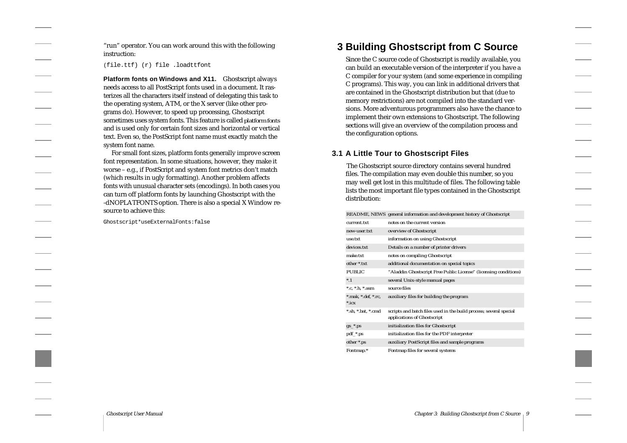<span id="page-8-0"></span>

"run" operator. You can work around this with the following instruction:

#### (file.ttf) (r) file .loadttfont

**Platform fonts on Windows and X11.** Ghostscript always needs access to all PostScript fonts used in a document. It rasterizes all the characters itself instead of delegating this task to the operating system, ATM, or the X server (like other programs do). However, to speed up processing, Ghostscript sometimes uses system fonts. This feature is called *platform fonts* and is used only for certain font sizes and horizontal or vertical text. Even so, the PostScript font name must exactly match the system font name.

For small font sizes, platform fonts generally improve screen font representation. In some situations, however, they make it worse – e.g., if PostScript and system font metrics don't match (which results in ugly formatting). Another problem affects fonts with unusual character sets (encodings). In both cases you can turn off platform fonts by launching Ghostscript with the -dNOPLATFONTS option. There is also a special X Window resource to achieve this:

Ghostscript\*useExternalFonts:false

## **3 Building Ghostscript from C Source**

Since the C source code of Ghostscript is readily available, you can build an executable version of the interpreter if you have a C compiler for your system (and some experience in compiling C programs). This way, you can link in additional drivers that are contained in the Ghostscript distribution but that (due to memory restrictions) are not compiled into the standard versions. More adventurous programmers also have the chance to implement their own extensions to Ghostscript. The following sections will give an overview of the compilation process and the configuration options.

## **3.1 A Little Tour to Ghostscript Files**

The Ghostscript source directory contains several hundred files. The compilation may even double this number, so you may well get lost in this multitude of files. The following table lists the most important file types contained in the Ghostscript distribution:

|                                | README, NEWS general information and development history of Ghostscript                           |
|--------------------------------|---------------------------------------------------------------------------------------------------|
| current.txt                    | notes on the current version                                                                      |
| new-user.txt                   | overview of Ghostscript                                                                           |
| use.txt                        | information on using Ghostscript                                                                  |
| devices.txt                    | Details on a number of printer drivers                                                            |
| make.txt                       | notes on compiling Ghostscript                                                                    |
| other *.txt                    | additional documentation on special topics                                                        |
| <b>PUBLIC</b>                  | "Aladdin Ghostscript Free Public License" (licensing conditions)                                  |
| $*1$                           | several Unix-style manual pages                                                                   |
| *.c. *.h. *.asm                | source files                                                                                      |
| *.mak, *.def, *.rc.<br>$*$ icx | auxiliary files for building the program                                                          |
| *.sh. *.bat. *.cmd             | scripts and batch files used in the build process; several special<br>applications of Ghostscript |
| $gs_{-}$ *.ps                  | initialization files for Ghostscript                                                              |
| $pdf_*^*$ .ps                  | initialization files for the PDF interpreter                                                      |
| other *.ps                     | auxiliary PostScript files and sample programs                                                    |
| Fontmap.*                      | Fontmap files for several systems                                                                 |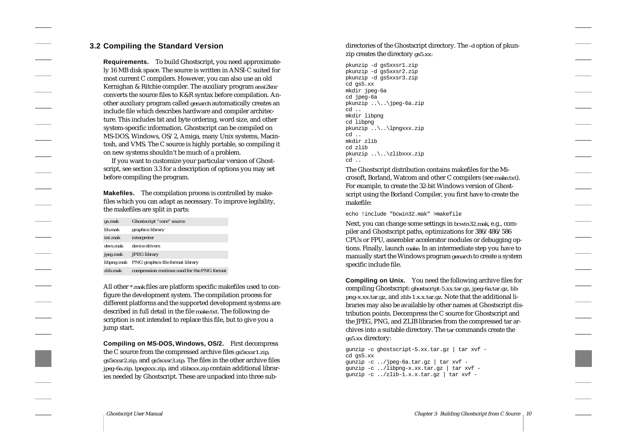## **3.2 Compiling the Standard Version**

**Requirements.** To build Ghostscript, you need approximately 16 MB disk space. The source is written in ANSI-C suited for most current C compilers. However, you can also use an old Kernighan & Ritchie compiler. The auxiliary program *ansi2knr* converts the source files to K&R syntax before compilation. Another auxiliary program called *genarch* automatically creates an include file which describes hardware and compiler architecture. This includes bit and byte ordering, word size, and other system-specific information. Ghostscript can be compiled on MS-DOS, Windows, OS/2, Amiga, many Unix systems, Macintosh, and VMS. The C source is highly portable, so compiling it on new systems shouldn't be much of a problem.

If you want to customize your particular version of Ghostscript, see [section 3.3](#page-10-0) for a description of options you may set before compiling the program.

**Makefiles.** The compilation process is controlled by makefiles which you can adapt as necessary. To improve legibility, the makefiles are split in parts:

| gs.mak     | Ghostscript "core" source                    |
|------------|----------------------------------------------|
| lib.mak    | graphics library                             |
| int.mak    | interpreter                                  |
| devs.mak   | device drivers                               |
| jpeg.mak   | <b>JPEG</b> library                          |
| libpng.mak | PNG graphics file format library             |
| zlih mak   | compression routines used for the PNG format |

All other *\*.mak* files are platform specific makefiles used to configure the development system. The compilation process for different platforms and the supported development systems are described in full detail in the file *make.txt*. The following description is not intended to replace this file, but to give you a jump start.

**Compiling on MS-DOS, Windows, OS/2.** First decompress the C source from the compressed archive files *gs5xxsr1.zip, gs5xxsr2.zip,* and *gs5xxsr3.zip*. The files in the other archive files *jpeg-6a.zip, lpngxxx.zip*, and *zlibxxx.zip* contain additional libraries needed by Ghostscript. These are unpacked into three sub-

directories of the Ghostscript directory. The *-d* option of pkunzip creates the directory *gs5.xx:*

pkunzip -d gs5xxsr1.zip pkunzip -d gs5xxsr2.zip pkunzip -d gs5xxsr3.zip cd gs5.xx mkdir jpeg-6a cd jpeg-6a pkunzip ..\..\jpeg-6a.zip cd ..mkdir libpng cd libpng pkunzip ..\..\lpngxxx.zip cd ..mkdir zlibcd zlibpkunzip ..\..\zlibxxx.zip cd ..

The Ghostscript distribution contains makefiles for the Microsoft, Borland, Watcom and other C compilers (see *make.txt*). For example, to create the 32-bit Windows version of Ghostscript using the Borland Compiler, you first have to create the makefile:

echo !include "bcwin32.mak" >makefile

Next, you can change some settings in *bcwin32.mak*, e.g., compiler and Ghostscript paths, optimizations for 386/486/586 CPUs or FPU, assembler accelerator modules or debugging options. Finally, launch *make*. In an intermediate step you have to manually start the Windows program *genarch* to create a system specific include file.

**Compiling on Unix.** You need the following archive files for compiling Ghostscript: *ghostscript-5.xx.tar.gz*, *jpeg-6a.tar.gz, libpng-x.xx.tar.gz*, and *zlib-1.x.x.tar.gz*. Note that the additional libraries may also be available by other names at Ghostscript distribution points. Decompress the C source for Ghostscript and the JPEG, PNG, and ZLIB libraries from the compressed tar archives into a suitable directory. The *tar* commands create the *gs5.xx* directory:

gunzip -c ghostscript-5.xx.tar.gz | tar xvf cd gs5.xx gunzip -c ../jpeg-6a.tar.gz | tar xvf gunzip -c ../libpng-x.xx.tar.gz | tar xvf gunzip  $-c$  ../zlib-1.x.x.tar.gz | tar xvf -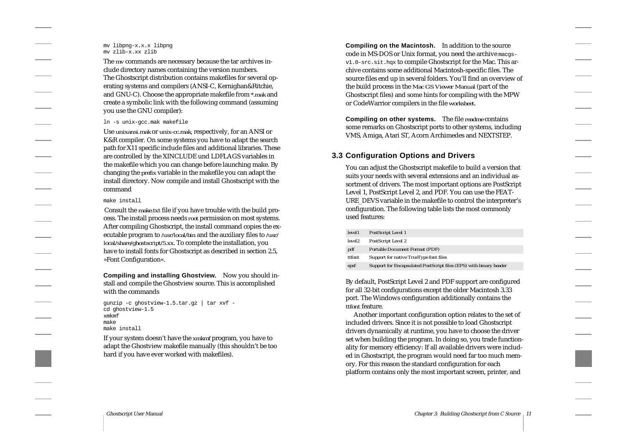#### <span id="page-10-0"></span>mv libpng-x.x.x libpng mv zlib-x.xx zlib

The *mv* commands are necessary because the tar archives include directory names containing the version numbers. The Ghostscript distribution contains makefiles for several operating systems and compilers (ANSI-C, Kernighan&Ritchie, and GNU-C). Choose the appropriate makefile from *\*.mak* and create a symbolic link with the following command (assuming you use the GNU compiler):

#### ln -s unix-gcc.mak makefile

Use *unixansi.mak* or *unix-cc.mak*, respectively, for an ANSI or K&R compiler. On some systems you have to adapt the search path for X11 specific include files and additional libraries. These are controlled by the XINCLUDE und LDFLAGS variables in the makefile which you can change before launching make. By changing the *prefix* variable in the makefile you can adapt the install directory. Now compile and install Ghostscript with the command

#### make install

Consult the *make.txt* file if you have trouble with the build process. The install process needs *root* permission on most systems. After compiling Ghostscript, the install command copies the executable program to */usr/local/bin* and the auxiliary files to */usr/ local/share/ghostscript/5.xx*. To complete the installation, you have to install fonts for Ghostscript as described in [section 2.5,](#page-6-0)  [»Font Configuration«](#page-6-0).

**Compiling and installing Ghostview.** Now you should install and compile the Ghostview source. This is accomplished with the commands

gunzip -c ghostview-1.5.tar.gz | tar xvf cd ghostview-1.5 xmkmfmakemake install

If your system doesn't have the *xmkmf* program, you have to adapt the Ghostview makefile manually (this shouldn't be too hard if you have ever worked with makefiles).

**Compiling on the Macintosh.** In addition to the source code in MS-DOS or Unix format, you need the archive macgsv1.0-src.sit.hqx to compile Ghostscript for the Mac. This archive contains some additional Macintosh-specific files. The source files end up in several folders. You'll find an overview of the build process in the *Mac GS Viewer Manual* (part of the Ghostscript files) and some hints for compiling with the MPW or CodeWarrior compilers in the file *worksheet*.

**Compiling on other systems.** The file *readme* contains some remarks on Ghostscript ports to other systems, including VMS, Amiga, Atari ST, Acorn Archimedes and NEXTSTEP.

## **3.3 Configuration Options and Drivers**

You can adjust the Ghostscript makefile to build a version that suits your needs with several extensions and an individual assortment of drivers. The most important options are PostScript Level 1, PostScript Level 2, and PDF. You can use the FEAT-URE\_DEVS variable in the makefile to control the interpreter's configuration. The following table lists the most commonly used features:

| level1 | PostScript Level 1                                                 |
|--------|--------------------------------------------------------------------|
| level2 | PostScript Level 2                                                 |
| pdf    | <b>Portable Document Format (PDF)</b>                              |
| ttfont | Support for native TrueType font files                             |
| epsf   | Support for Encapsulated PostScript files (EPS) with binary header |

By default, PostScript Level 2 and PDF support are configured for all 32-bit configurations except the older Macintosh 3.33 port. The Windows configuration additionally contains the *ttfont* feature.

Another important configuration option relates to the set of included drivers. Since it is not possible to load Ghostscript drivers dynamically at runtime, you have to choose the driver set when building the program. In doing so, you trade functionality for memory efficiency: If all available drivers were included in Ghostscript, the program would need far too much memory. For this reason the standard configuration for each platform contains only the most important screen, printer, and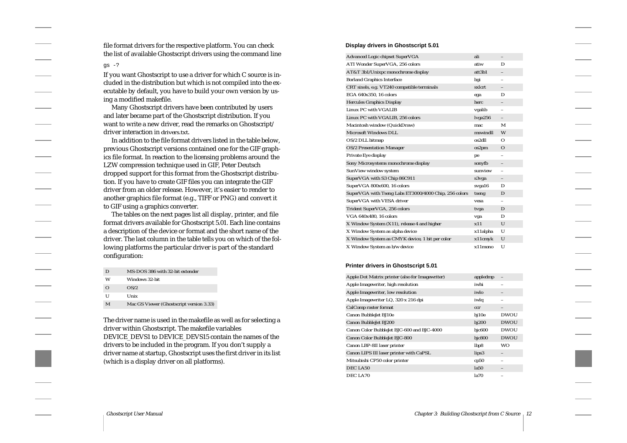file format drivers for the respective platform. You can check the list of available Ghostscript drivers using the command line

#### gs -?

If you want Ghostscript to use a driver for which C source is included in the distribution but which is not compiled into the executable by default, you have to build your own version by using a modified makefile.

Many Ghostscript drivers have been contributed by users and later became part of the Ghostscript distribution. If you want to write a new driver, read the remarks on Ghostscript/ driver interaction in *drivers.txt*.

In addition to the file format drivers listed in the table below, previous Ghostscript versions contained one for the GIF graphics file format. In reaction to the licensing problems around the LZW compression technique used in GIF, Peter Deutsch dropped support for this format from the Ghostscript distribution. If you have to create GIF files you can integrate the GIF driver from an older release. However, it's easier to render to another graphics file format (e.g., TIFF or PNG) and convert it to GIF using a graphics converter.

The tables on the next pages list all display, printer, and file format drivers available for Ghostscript 5.01. Each line contains a description of the device or format and the short name of the driver. The last column in the table tells you on which of the following platforms the particular driver is part of the standard configuration:

| D        | MS-DOS 386 with 32-bit extender          |
|----------|------------------------------------------|
| W        | Windows 32-bit                           |
| $\Omega$ | OS/2                                     |
| H        | Unix                                     |
| M        | Mac GS Viewer (Ghostscript version 3.33) |

The driver name is used in the makefile as well as for selecting a driver within Ghostscript. The makefile variables DEVICE\_DEVS1 to DEVICE\_DEVS15 contain the names of the drivers to be included in the program. If you don't supply a driver name at startup, Ghostscript uses the first driver in its list (which is a display driver on all platforms).

#### **Display drivers in Ghostscript 5.01**

| Advanced Logic chipset SuperVGA                       | ali        |    |
|-------------------------------------------------------|------------|----|
| ATI Wonder SuperVGA, 256 colors                       | atiw       | D  |
| AT&T 3b1/Unixpc monochrome display                    | att3b1     |    |
| <b>Borland Graphics Interface</b>                     | bgi        |    |
| CRT sixels, e.g. VT240 compatible terminals           | sxlcrt     | -  |
| EGA 640x350. 16 colors                                | ega        | D  |
| <b>Hercules Graphics Display</b>                      | herc       |    |
| Linux PC with VGALIB                                  | vgalib     |    |
| Linux PC with VGALIB, 256 colors                      | Ivga256    |    |
| Macintosh window (QuickDraw)                          | <i>mac</i> | M  |
| Microsoft Windows DLL                                 | mswindll   | W  |
| OS/2 DLL bitmap                                       | os2dll     | 0  |
| <b>OS/2 Presentation Manager</b>                      | os2pm      | 0  |
| Private Eye display                                   | pe         |    |
| Sony Microsystems monochrome display                  | sonyfb     |    |
| SunView window system                                 | sunview    |    |
| SuperVGA with S3 Chip 86C911                          | s3vga      |    |
| SuperVGA 800x600, 16 colors                           | svga16     | D  |
| SuperVGA with Tseng Labs ET3000/4000 Chip, 256 colors | tseng      | D  |
| SuperVGA with VESA driver                             | vesa       | Ξ. |
| Trident SuperVGA, 256 colors                          | tvga       | D  |
| VGA 640x480. 16 colors                                | vga        | D  |
| X Window System (X11), release 4 and higher           | x11        | U  |
| X Window System as alpha device                       | x11alpha   | U  |
| X Window System as CMYK device, 1 bit per color       | x11cmyk    | U  |
| X Window System as b/w device                         | x11mono    | U  |

#### **Printer drivers in Ghostscript 5.01**

| Apple Dot Matrix printer (also for Imagewriter) | appledmp          |             |
|-------------------------------------------------|-------------------|-------------|
| Apple Imagewriter, high resolution              | iwhi              |             |
| Apple Imagewriter, low resolution               | iwlo              |             |
| Apple Imagewriter LQ, 320 x 216 dpi             | iwla              |             |
| CalComp raster format                           | ccr               |             |
| <b>Canon BubbleJet BJ10e</b>                    | bj10e             | <b>DWOU</b> |
| <b>Canon BubbleJet BJ200</b>                    | bj200             | <b>DWOU</b> |
| Canon Color BubbleJet BJC-600 and BJC-4000      | $b$ j $c600$      | <b>DWOU</b> |
| <b>Canon Color BubbleJet BJC-800</b>            | <b>bjc800</b>     | <b>DWOU</b> |
| Canon LBP-8II laser printer                     | lbp8              | WO          |
| Canon LIPS III laser printer with CaPSL         | lips3             |             |
| Mitsubishi CP50 color printer                   | cp50              |             |
| DEC <sub>LA50</sub>                             | l <sub>a</sub> 50 |             |
| DEC LA70                                        | <i>la70</i>       |             |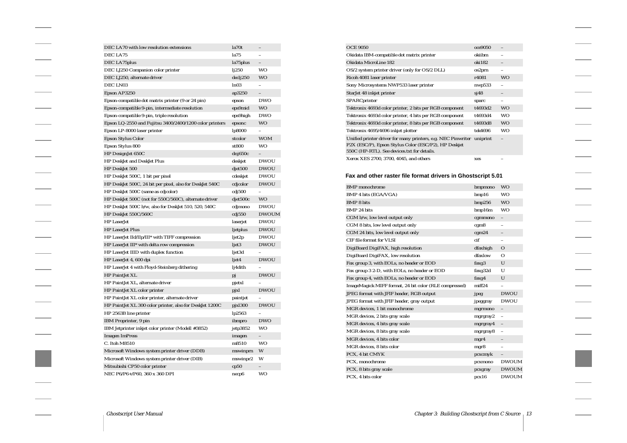| DEC LA70 with low resolution extensions                  | la70t            | -                        |
|----------------------------------------------------------|------------------|--------------------------|
| DEC LA75                                                 | la75             |                          |
| DEC LA75plus                                             | la75plus         |                          |
| DEC LJ250 Companion color printer                        | li250            | WO                       |
| DEC LJ250, alternate driver                              | decli250         | <b>WO</b>                |
| <b>DEC LN03</b>                                          | ln <sub>03</sub> |                          |
| Epson AP3250                                             | ap3250           | $\overline{a}$           |
| Epson-compatible dot matrix printer (9 or 24 pin)        | epson            | <b>DWO</b>               |
| Epson-compatible 9-pin, intermediate resolution          | eps9mid          | <b>WO</b>                |
| Epson-compatible 9-pin, triple resolution                | eps9high         | <b>DWO</b>               |
| Epson LQ-2550 and Fujitsu 3400/2400/1200 color printers  | epsonc           | <b>WO</b>                |
| Epson LP-8000 laser printer                              | lp8000           |                          |
| <b>Epson Stylus Color</b>                                | stcolor          | WOM                      |
| Epson Stylus 800                                         | st800            | WO                       |
| HP DesignJet 650C                                        | dnj650c          | $\overline{a}$           |
| <b>HP DeskJet and DeskJet Plus</b>                       | deskjet          | <b>DWOU</b>              |
| HP DeskJet 500                                           | $det 500$        | <b>DWOU</b>              |
| HP DeskJet 500C, 1 bit per pixel                         | cdeskjet         | <b>DWOU</b>              |
| HP DeskJet 500C, 24 bit per pixel, also for DeskJet 540C | cdjcolor         | <b>DWOU</b>              |
| HP DeskJet 500C (same as cdjcolor)                       | cdj500           |                          |
| HP DeskJet 500C (not for 550C/560C), alternate driver    | djet500c         | <b>WO</b>                |
| HP DeskJet 500C b/w, also for DeskJet 510, 520, 540C     | cdjmono          | <b>DWOU</b>              |
| HP DeskJet 550C/560C                                     | cdi550           | <b>DWOUM</b>             |
| <b>HP</b> LaserJet                                       | laserjet         | <b>DWOU</b>              |
| <b>HP</b> LaserJet Plus                                  | ljetplus         | <b>DWOU</b>              |
| HP LaserJet IId/IIp/III* with TIFF compression           | ljet2p           | <b>DWOU</b>              |
| HP LaserJet III* with delta row compression              | ljet3            | <b>DWOU</b>              |
| HP LaserJet IIID with duplex function                    | ljet3d           |                          |
| HP LaserJet 4, 600 dpi                                   | ljet4            | <b>DWOU</b>              |
| HP LaserJet 4 with Floyd-Steinberg dithering             | lj4dith          |                          |
| <b>HP</b> PaintJet XL                                    | рj               | <b>DWOU</b>              |
| HP PaintJet XL, alternate driver                         | pjetxl           |                          |
| <b>HP PaintJet XL color printer</b>                      | pjxl             | <b>DWOU</b>              |
| HP PaintJet XL color printer, alternate driver           | paintjet         |                          |
| HP PaintJet XL 300 color printer, also for DeskJet 1200C | pjxl300          | <b>DWOU</b>              |
| HP 2563B line printer                                    | lp2563           |                          |
| IBM Proprinter, 9 pin                                    | ibmpro           | <b>DWO</b>               |
| IBM Jetprinter inkjet color printer (Modell #3852)       | jetp3852         | WO                       |
| <b>Imagen ImPress</b>                                    | imagen           | $\overline{\phantom{0}}$ |
| C. Itoh M8510                                            | m8510            | WO                       |
| Microsoft Windows system printer driver (DDB)            | mswinprn         | W                        |
| Microsoft Windows system printer driver (DIB)            | mswinpr2         | W                        |
| Mitsubishi CP50 color printer                            | cp50             | $\overline{\phantom{0}}$ |
| NEC P6/P6+/P60, 360 x 360 DPI                            | песрв            | WO                       |

| OCE 9050                                                                                                                                                            | oce9050  |           |
|---------------------------------------------------------------------------------------------------------------------------------------------------------------------|----------|-----------|
| Okidata IBM-compatible dot matrix printer                                                                                                                           | okiibm   |           |
| Okidata MicroLine 182                                                                                                                                               | oki182   |           |
| OS/2 system printer driver (only for OS/2 DLL)                                                                                                                      | os2prn   |           |
| Ricoh 4081 laser printer                                                                                                                                            | r4081    | <b>WO</b> |
| Sony Microsystems NWP533 laser printer                                                                                                                              | nwp533   |           |
| StarJet 48 inkjet printer                                                                                                                                           | si48     |           |
| <b>SPARCprinter</b>                                                                                                                                                 | sparc    |           |
| Tektronix 4693d color printer, 2 bits per RGB component                                                                                                             | t4693d2  | WO        |
| Tektronix 4693d color printer, 4 bits per RGB component                                                                                                             | t4693d4  | WO        |
| Tektronix 4693d color printer, 8 bits per RGB component                                                                                                             | t4693d8  | <b>WO</b> |
| Tektronix 4695/4696 inkjet plotter                                                                                                                                  | tek4696  | <b>WO</b> |
| Unified printer driver for many printers, e.g. NEC Pinwriter<br>P2X (ESC/P), Epson Stylus Color (ESC/P2), HP Deskjet<br>550C (HP-RTL). See devices.txt for details. | uniprint |           |
| Xerox XES 2700, 3700, 4045, and others                                                                                                                              | xes      |           |

 $\overline{\phantom{a}}$ 

## **Fax and other raster file format drivers in Ghostscript 5.01**

| <b>BMP</b> monochrome                                  | bmpmono  | <b>WO</b>                |
|--------------------------------------------------------|----------|--------------------------|
| <b>BMP 4 bits (EGA/VGA)</b>                            | bmp16    | WO                       |
| <b>BMP 8 bits</b>                                      | bmp256   | <b>WO</b>                |
| <b>BMP 24 bits</b>                                     | bmp16m   | WO                       |
| CGM b/w, low level output only                         | cgmmono  |                          |
| CGM 8 bits, low level output only                      | cgm8     |                          |
| CGM 24 bits, low level output only                     | cgm24    |                          |
| CIF file format for VLSI                               | cif      | -                        |
| DigiBoard DigiFAX, high resolution                     | dfaxhigh | $\overline{O}$           |
| DigiBoard DigiFAX, low resolution                      | dfaxlow  | 0                        |
| Fax group 3, with EOLs, no header or EOD               | faxg3    | U                        |
| Fax group 3 2-D, with EOLs, no header or EOD           | faxg32d  | U                        |
| Fax group 4, with EOLs, no header or EOD               | faxg4    | U                        |
| ImageMagick MIFF format, 24 bit color (RLE compressed) | miff24   |                          |
| JPEG format with JFIF header, RGB output               | jpeg     | <b>DWOU</b>              |
| JPEG format with JFIF header, gray output              | jpeggray | <b>DWOU</b>              |
| MGR devices. 1 bit monochrome                          | mgrmono  | $\overline{\phantom{0}}$ |
| MGR devices, 2 bits gray scale                         | mgrgray2 | $\overline{a}$           |
| MGR devices, 4 bits gray scale                         | mgrgray4 | $\overline{\phantom{0}}$ |
| MGR devices, 8 bits gray scale                         | mgrgray8 | $\overline{\phantom{0}}$ |
| MGR devices. 4 bits color                              | mgr4     | <sup>-</sup>             |
| MGR devices. 8 bits color                              | mgr8     | -                        |
| PCX, 4 bit CMYK                                        | pcxcmyk  |                          |
| PCX, monochrome                                        | pcxmono  | <b>DWOUM</b>             |
| PCX, 8 bits gray scale                                 | pcxgray  | <b>DWOUM</b>             |
| PCX. 4 bits color                                      | pcx16    | <b>DWOUM</b>             |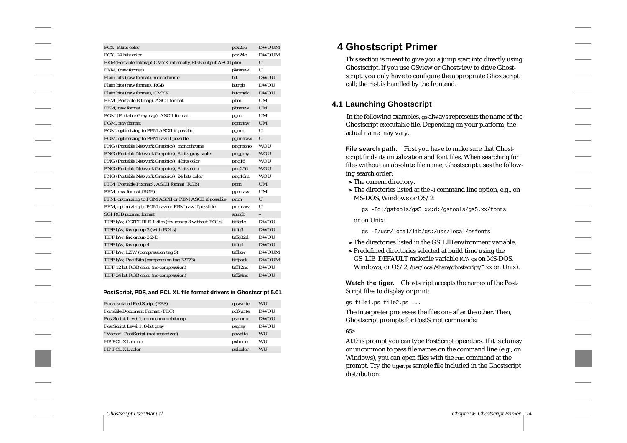<span id="page-13-0"></span>

| PCX, 8 bits color                                            | pcx256         | <b>DWOUM</b>             |
|--------------------------------------------------------------|----------------|--------------------------|
| PCX, 24 bits color                                           | pcx24b         | <b>DWOUM</b>             |
| PKM(Portable Inkmap), CMYK internally, RGB output, ASCII pkm |                | U                        |
| PKM, (raw format)                                            | pkmraw         | U                        |
| Plain bits (raw format), monochrome                          | bit            | <b>DWOU</b>              |
| Plain bits (raw format), RGB                                 | bitrgb         | <b>DWOU</b>              |
| Plain bits (raw format), CMYK                                | bitcmyk        | <b>DWOU</b>              |
| PBM (Portable Bitmap), ASCII format                          | pbm            | UМ                       |
| PBM. raw format                                              | pbmraw         | <b>UM</b>                |
| PGM (Portable Graymap), ASCII format                         | pgm            | UМ                       |
| PGM, raw format                                              | pgmraw         | <b>UM</b>                |
| PGM, optimizing to PBM ASCII if possible                     | pgnm           | U                        |
| PGM, optimizing to PBM raw if possible                       | pgnmraw        | U                        |
| PNG (Portable Network Graphics), monochrome                  | pngmono        | WOU                      |
| PNG (Portable Network Graphics), 8 bits gray scale           | pnggray        | <b>WOU</b>               |
| PNG (Portable Network Graphics), 4 bits color                | png16          | WOU                      |
| PNG (Portable Network Graphics), 8 bits color                | ppg256         | <b>WOU</b>               |
| PNG (Portable Network Graphics), 24 bits color               | png16m         | WOU                      |
| PPM (Portable Pixmap), ASCII format (RGB)                    | ppm            | <b>UM</b>                |
| PPM, raw format (RGB)                                        | ppmraw         | UM                       |
| PPM, optimizing to PGM ASCII or PBM ASCII if possible        | pnm            | U                        |
| PPM, optimizing to PGM raw or PBM raw if possible            | pnmraw         | U                        |
| <b>SGI RGB</b> pixmap format                                 | sgirgb         | $\overline{\phantom{0}}$ |
| TIFF b/w, CCITT RLE 1-dim (fax group 3 without EOLs)         | tiffcrle       | <b>DWOU</b>              |
| TIFF b/w, fax group 3 (with EOLs)                            | tiffg3         | <b>DWOU</b>              |
| TIFF b/w, fax group 3 2-D                                    | tiffg32d       | <b>DWOU</b>              |
| TIFF b/w, fax group 4                                        | tiffg4         | <b>DWOU</b>              |
| TIFF b/w, LZW (compression tag 5)                            | tifflzw        | <b>DWOUM</b>             |
| TIFF b/w, PackBits (compression tag 32773)                   | tiffpack       | <b>DWOUM</b>             |
| TIFF 12 bit RGB color (no compression)                       | tiff12nc       | <b>DWOU</b>              |
| TIFF 24 bit RGB color (no compression)                       | $t$ iff $24nc$ | <b>DWOU</b>              |

#### **PostScript, PDF, and PCL XL file format drivers in Ghostscript 5.01**

| <b>Encapsulated PostScript (EPS)</b>  | epswrite | WU          |
|---------------------------------------|----------|-------------|
| <b>Portable Document Format (PDF)</b> | pdfwrite | <b>DWOU</b> |
| PostScript Level 1, monochrome bitmap | psmono   | <b>DWOU</b> |
| PostScript Level 1, 8-bit gray        | psgray   | DWOU        |
| "Vector" PostScript (not rasterized)  | pswrite  | WU          |
| <b>HP PCL XL mono</b>                 | pxlmono  | WU          |
| <b>HP PCL XL color</b>                | pxlcolor | WU          |

## **4 Ghostscript Primer**

This section is meant to give you a jump start into directly using Ghostscript. If you use GSview or Ghostview to drive Ghostscript, you only have to configure the appropriate Ghostscript call; the rest is handled by the frontend.

## **4.1 Launching Ghostscript**

In the following examples, *gs* always represents the name of the Ghostscript executable file. Depending on your platform, the actual name may vary.

**File search path.** First you have to make sure that Ghostscript finds its initialization and font files. When searching for files without an absolute file name, Ghostscript uses the following search order:

➤The current directory.

➤The directories listed at the *-I* command line option, e.g., on MS-DOS, Windows or OS/2:

gs -Id:/gstools/gs5.xx;d:/gstools/gs5.xx/fonts

or on Unix:

gs -I/usr/local/lib/gs:/usr/local/psfonts

- ➤The directories listed in the GS\_LIB environment variable.
- ➤Predefined directories selected at build time using the GS\_LIB\_DEFAULT makefile variable (*C:\gs* on MS-DOS, Windows, or OS/2; */usr/local/share/ghostscript/5.xx* on Unix).

**Watch the tiger.** Ghostscript accepts the names of the Post-Script files to display or print:

gs file1.ps file2.ps ...

The interpreter processes the files one after the other. Then, Ghostscript prompts for PostScript commands:

#### GS>

At this prompt you can type PostScript operators. If it is clumsy or uncommon to pass file names on the command line (e.g., on Windows), you can open files with the *run* command at the prompt. Try the *tiger.ps* sample file included in the Ghostscript distribution: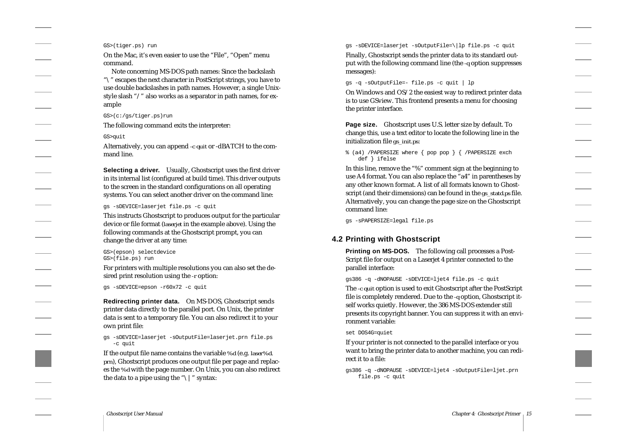#### GS>(tiger.ps) run

On the Mac, it's even easier to use the "File", "Open" menu command.

Note concerning MS-DOS path names: Since the backslash "\" escapes the next character in PostScript strings, you have to use double backslashes in path names. However, a single Unixstyle slash "/" also works as a separator in path names, for example

#### GS>(c:/gs/tiger.ps)run

The following command exits the interpreter:

#### GS>quit

Alternatively, you can append *-c quit* or -dBATCH to the command line.

**Selecting a driver.** Usually, Ghostscript uses the first driver in its internal list (configured at build time). This driver outputs to the screen in the standard configurations on all operating systems. You can select another driver on the command line:

#### gs -sDEVICE=laserjet file.ps -c quit

This instructs Ghostscript to produces output for the particular device or file format (*laserjet* in the example above). Using the following commands at the Ghostscript prompt, you can change the driver at any time:

#### GS>(epson) selectdevice GS>(file.ps) run

For printers with multiple resolutions you can also set the desired print resolution using the *-r* option:

gs -sDEVICE=epson -r60x72 -c quit

**Redirecting printer data.** On MS-DOS, Ghostscript sends printer data directly to the parallel port. On Unix, the printer data is sent to a temporary file. You can also redirect it to your own print file:

gs -sDEVICE=laserjet -sOutputFile=laserjet.prn file.ps -c quit

If the output file name contains the variable *%d* (e.g. *laser%d. prn*), Ghostscript produces one output file per page and replaces the *%d* with the page number. On Unix, you can also redirect the data to a pipe using the " $\|\cdot\|$ " syntax:

gs -sDEVICE=laserjet -sOutputFile=\|lp file.ps -c quit

Finally, Ghostscript sends the printer data to its standard output with the following command line (the *-q* option suppresses messages):

#### gs -q -sOutputFile=- file.ps -c quit | lp

On Windows and OS/2 the easiest way to redirect printer data is to use GSview. This frontend presents a menu for choosing the printer interface.

**Page size.** Ghostscript uses U.S. letter size by default. To change this, use a text editor to locate the following line in the initialization file *gs\_init.ps*:

% (a4) /PAPERSIZE where { pop pop } { /PAPERSIZE exch def } ifelse

In this line, remove the "%" comment sign at the beginning to use A4 format. You can also replace the "a4" in parentheses by any other known format. A list of all formats known to Ghostscript (and their dimensions) can be found in the *gs\_statd.ps* file. Alternatively, you can change the page size on the Ghostscript command line:

gs -sPAPERSIZE=legal file.ps

## **4.2 Printing with Ghostscript**

**Printing on MS-DOS.** The following call processes a Post-Script file for output on a Laserjet 4 printer connected to the parallel interface:

gs386 -q -dNOPAUSE -sDEVICE=ljet4 file.ps -c quit

The *-c quit* option is used to exit Ghostscript after the PostScript file is completely rendered. Due to the *-q* option, Ghostscript itself works quietly. However, the 386 MS-DOS extender still presents its copyright banner. You can suppress it with an environment variable:

set DOS4G=quiet

If your printer is not connected to the parallel interface or you want to bring the printer data to another machine, you can redirect it to a file:

gs386 -q -dNOPAUSE -sDEVICE=ljet4 -sOutputFile=ljet.prn file.ps -c quit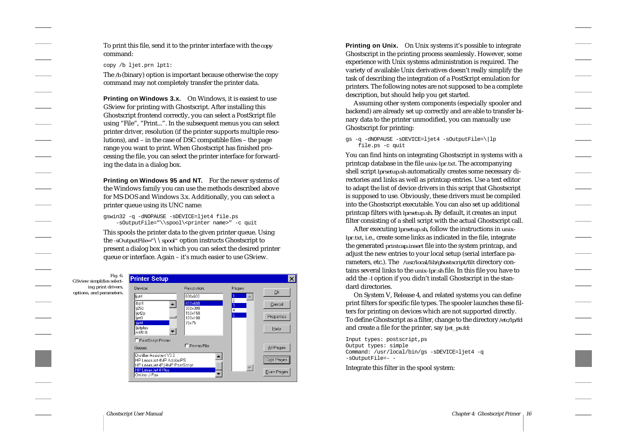To print this file, send it to the printer interface with the *copy* command:

copy /b ljet.prn lpt1:

The */b* (binary) option is important because otherwise the copy command may not completely transfer the printer data.

**Printing on Windows 3.x.** On Windows, it is easiest to use GSview for printing with Ghostscript. After installing this Ghostscript frontend correctly, you can select a PostScript file using "File", "Print...". In the subsequent menus you can select printer driver, resolution (if the printer supports multiple resolutions), and – in the case of DSC compatible files – the page range you want to print. When Ghostscript has finished processing the file, you can select the printer interface for forwarding the data in a dialog box.

**Printing on Windows 95 and NT.** For the newer systems of the Windows family you can use the methods described above for MS-DOS and Windows 3.x. Additionally, you can select a printer queue using its UNC name:

gswin32 -q -dNOPAUSE -sDEVICE=ljet4 file.ps -sOutputFile="\\spool\<printer name>" -c quit

This spools the printer data to the given printer queue. Using the *-sOutputFile="*\\*spool"* option instructs Ghostscript to present a dialog box in which you can select the desired printer queue or interface. Again – it's much easier to use GSview.

*Fig. 6. GSview simplifies selecting print drivers, options, and parameters.*



**Printing on Unix.** On Unix systems it's possible to integrate Ghostscript in the printing process seamlessly. However, some experience with Unix systems administration is required. The variety of available Unix derivatives doesn't really simplify the task of describing the integration of a PostScript emulation for printers. The following notes are not supposed to be a complete description, but should help you get started.

Assuming other system components (especially spooler and backend) are already set up correctly and are able to transfer binary data to the printer unmodified, you can manually use Ghostscript for printing:

gs -q -dNOPAUSE -sDEVICE=ljet4 -sOutputFile=\|lp file.ps -c quit

You can find hints on integrating Ghostscript in systems with a printcap database in the file *unix-lpr.txt.* The accompanying shell script *lprsetup.sh* automatically creates some necessary directories and links as well as printcap entries. Use a text editor to adapt the list of device drivers in this script that Ghostscript is supposed to use. Obviously, these drivers must be compiled into the Ghostscript executable. You can also set up additional printcap filters with *lprsetup.sh*. By default, it creates an input filter consisting of a shell script with the actual Ghostscript call.

After executing *lprsetup.sh*, follow the instructions in *unixlpr.txt*, i.e., create some links as indicated in the file, integrate the generated *printcap.insert* file into the system printcap, and adjust the new entries to your local setup (serial interface parameters, etc.). The */usr/local/lib/ghostscript/filt* directory contains several links to the *unix-lpr.sh* file. In this file you have to add the *-I* option if you didn't install Ghostscript in the standard directories.

On System V, Release 4, and related systems you can define print filters for specific file types. The spooler launches these filters for printing on devices which are not supported directly. To define Ghostscript as a filter, change to the directory */etc/lp/fd* and create a file for the printer, say *ljet\_ps.fd*:

Input types: postscript,ps Output types: simple Command: /usr/local/bin/gs -sDEVICE=ljet4 -q -sOutputFile=- -

Integrate this filter in the spool system: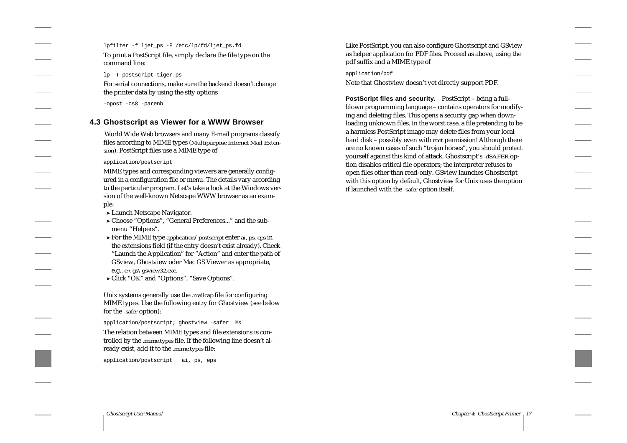#### lpfilter -f ljet\_ps -F /etc/lp/fd/ljet\_ps.fd

To print a PostScript file, simply declare the file type on the command line:

#### lp -T postscript tiger.ps

For serial connections, make sure the backend doesn't change the printer data by using the stty options

-opost -cs8 -parenb

## **4.3 Ghostscript as Viewer for a WWW Browser**

World Wide Web browsers and many E-mail programs classify files according to MIME types (*Multipurpose Internet Mail Extension*). PostScript files use a MIME type of

application/postscript

MIME types and corresponding viewers are generally configured in a configuration file or menu. The details vary according to the particular program. Let's take a look at the Windows version of the well-known Netscape WWW browser as an example:

➤Launch Netscape Navigator.

- ➤Choose "Options", "General Preferences..." and the submenu "Helpers".
- ➤For the MIME type *application*/*postscript* enter *ai, ps, eps* in the extensions field (if the entry doesn't exist already). Check "Launch the Application" for "Action" and enter the path of GSview, Ghostview oder Mac GS Viewer as appropriate, e.g., *c:\gs\gsview32.exe.*
- ➤Click "OK" and "Options", "Save Options".

Unix systems generally use the .*mailcap* file for configuring MIME types. Use the following entry for Ghostview (see below for the *-safer* option):

application/postscript; ghostview -safer %s

The relation between MIME types and file extensions is controlled by the *.mime.types* file. If the following line doesn't already exist, add it to the *.mime.types* file:

application/postscript ai, ps, eps

Like PostScript, you can also configure Ghostscript and GSview as helper application for PDF files. Proceed as above, using the pdf suffix and a MIME type of

#### application/pdf

Note that Ghostview doesn't yet directly support PDF.

**PostScript files and security.** PostScript – being a fullblown programming language – contains operators for modifying and deleting files. This opens a security gap when downloading unknown files. In the worst case, a file pretending to be a harmless PostScript image may delete files from your local hard disk – possibly even with *root* permission! Although there are no known cases of such "trojan horses", you should protect yourself against this kind of attack. Ghostscript's *-dSAFER* option disables critical file operators; the interpreter refuses to open files other than read-only. GSview launches Ghostscript with this option by default, Ghostview for Unix uses the option if launched with the *-safer* option itself.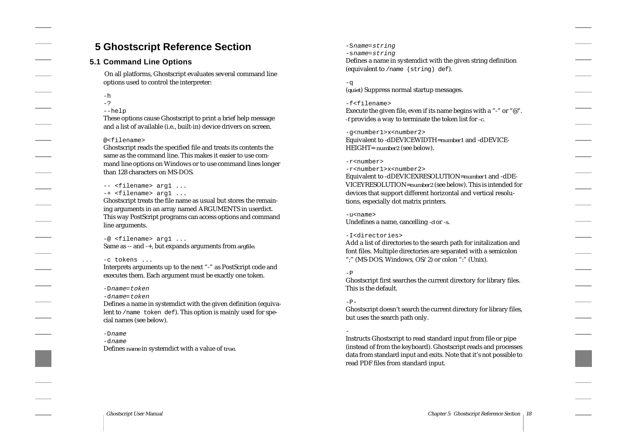## <span id="page-17-0"></span>**5 Ghostscript Reference Section**

## **5.1 Command Line Options**

On all platforms, Ghostscript evaluates several command line options used to control the interpreter:

- $-h$
- 
- -?

--help

These options cause Ghostscript to print a brief help message and a list of available (i.e., built-in) device drivers on screen.

### @<filename>

 Ghostscript reads the specified file and treats its contents the same as the command line. This makes it easier to use command line options on Windows or to use command lines longer than 128 characters on MS-DOS.

-- <filename> arg1 ...

-+ <filename> arg1 ...

Ghostscript treats the file name as usual but stores the remaining arguments in an array named ARGUMENTS in userdict. This way PostScript programs can access options and command line arguments.

-@ <filename> arg1 ... Same as -- and -+, but expands arguments from *argfile*.

### -c tokens ...

Interprets arguments up to the next "-" as PostScript code and executes them. Each argument must be exactly one token.

#### -Dname=token

#### -dname=token

Defines a name in systemdict with the given definition (equivalent to /name token def). This option is mainly used for special names (see below).

-Dname

-dname

Defines *name* in systemdict with a value of *true*.

-Sname=string

-sname=string Defines a name in systemdict with the given string definition (equivalent to /name (string) def).

### -q

(*quiet*) Suppress normal startup messages.

#### -f<filename>

Execute the given file, even if its name begins with a "-" or "@". *-f* provides a way to terminate the token list for *-c.* 

#### -g<number1>x<number2>

Equivalent to -dDEVICEWIDTH=*number1* and -dDEVICE-HEIGHT= *number2* (see below).

#### -r<number>

#### -r<number1>x<number2>

Equivalent to -dDEVICEXRESOLUTION=*number1* and -dDE-VICEYRESOLUTION=*number2* (see below). This is intended for devices that support different horizontal and vertical resolutions, especially dot matrix printers.

#### -u<name>

Undefines a name, cancelling *-d* or *-s*.

#### -I<directories>

Add a list of directories to the search path for initalization and font files. Multiple directories are separated with a semicolon ";" (MS-DOS, Windows, OS/2) or colon ":" (Unix).

### $-P$

Ghostscript first searches the current directory for library files. This is the default.

#### $-P-$

Ghostscript doesn't search the current directory for library files, but uses the search path only.

Instructs Ghostscript to read standard input from file or pipe (instead of from the keyboard). Ghostscript reads and processes data from standard input and exits. Note that it's not possible to read PDF files from standard input.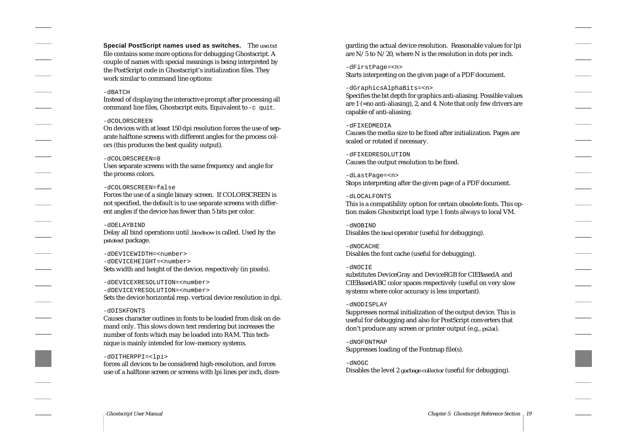**Special PostScript names used as switches.** The *use.txt* file contains some more options for debugging Ghostscript. A couple of names with special meanings is being interpreted by the PostScript code in Ghostscript's initialization files. They work similar to command line options:

#### -dBATCH

Instead of displaying the interactive prompt after processing all command line files, Ghostscript exits. Equivalent to -c quit.

#### -dCOLORSCREEN

On devices with at least 150 dpi resolution forces the use of separate halftone screens with different angles for the process colors (this produces the best quality output).

#### -dCOLORSCREEN=0

Uses separate screens with the same frequency and angle for the process colors.

#### -dCOLORSCREEN=false

Forces the use of a single binary screen. If COLORSCREEN is not specified, the default is to use separate screens with different angles if the device has fewer than 5 bits per color.

#### -dDELAYBIND

Delay all bind operations until *.bindnow* is called. Used by the *pstotext* package.

-dDEVICEWIDTH=<number>-dDEVICEHEIGHT=<number>Sets width and height of the device, respectively (in pixels).

-dDEVICEXRESOLUTION=<number>-dDEVICEYRESOLUTION=<number>Sets the device horizontal resp. vertical device resolution in dpi.

#### -dDISKFONTS

Causes character outlines in fonts to be loaded from disk on demand only. This slows down text rendering but increases the number of fonts which may be loaded into RAM. This technique is mainly intended for low-memory systems.

#### -dDITHERPPI=<lpi>

forces all devices to be considered high-resolution, and forces use of a halftone screen or screens with lpi lines per inch, disregarding the actual device resolution. Reasonable values for lpi are N/5 to N/20, where N is the resolution in dots per inch.

#### -dFirstPage=<n>

Starts interpreting on the given page of a PDF document.

#### -dGraphicsAlphaBits=<n>

Specifies the bit depth for graphics anti-aliasing. Possible values are 1 (=no anti-aliasing), 2, and 4. Note that only few drivers are capable of anti-aliasing.

#### -dFIXEDMEDIA

Causes the media size to be fixed after initialization. Pages are scaled or rotated if necessary.

-dFIXEDRESOLUTIONCauses the output resolution to be fixed.

-dLastPage=<n> Stops interpreting after the given page of a PDF document.

#### -dLOCALFONTS

 This is a compatibility option for certain obsolete fonts. This op tion makes Ghostscript load type 1 fonts always to local VM.

-dNOBINDDisables the *bind* operator (useful for debugging).

-dNOCACHEDisables the font cache (useful for debugging).

#### -dNOCIE

substitutes DeviceGray and DeviceRGB for CIEBasedA and CIEBasedABC color spaces respectively (useful on very slow systems where color accuracy is less important).

#### -dNODISPLAY

Suppresses normal initialization of the output device. This is useful for debugging and also for PostScript converters that don't produce any screen or printer output (e.g., *ps2ai*).

-dNOFONTMAP

Suppresses loading of the Fontmap file(s).

## -dNOGC

Disables the level 2 *garbage collector* (useful for debugging).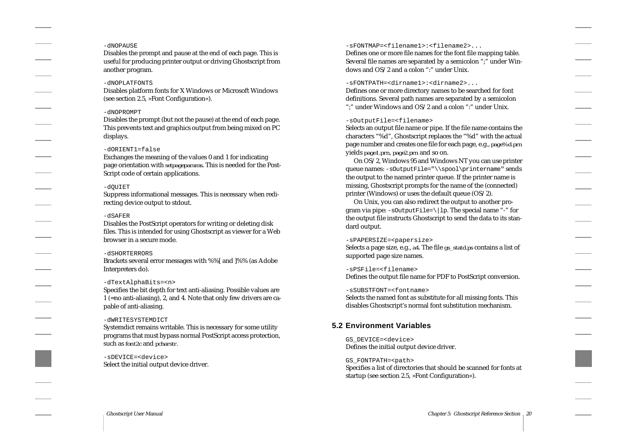#### -dNOPAUSE

Disables the prompt and pause at the end of each page. This is useful for producing printer output or driving Ghostscript from another program.

#### -dNOPLATFONTS

Disables platform fonts for X Windows or Microsoft Windows (see [section 2.5, »Font Configuration«\)](#page-6-0).

#### -dNOPROMPT

Disables the prompt (but not the pause) at the end of each page. This prevents text and graphics output from being mixed on PC displays.

#### -dORIENT1=false

 Exchanges the meaning of the values 0 and 1 for indicating page orientation with *setpageparams*. This is needed for the Post-Script code of certain applications.

#### -dQUIET

Suppress informational messages. This is necessary when redirecting device output to stdout.

#### -dSAFER

Disables the PostScript operators for writing or deleting disk files. This is intended for using Ghostscript as viewer for a Web browser in a secure mode.

#### -dSHORTERRORS

Brackets several error messages with %%[ and ]%% (as Adobe Interpreters do).

#### -dTextAlphaBits=<n>

Specifies the bit depth for text anti-aliasing. Possible values are 1 (=no anti-aliasing), 2, and 4. Note that only few drivers are capable of anti-aliasing.

#### -dWRITESYSTEMDICT

Systemdict remains writable. This is necessary for some utility programs that must bypass normal PostScript access protection, such as *font2c* and *pcharstr*.

-sDEVICE=<device>Select the initial output device driver.

#### -sFONTMAP=<filename1>:<filename2>...

Defines one or more file names for the font file mapping table. Several file names are separated by a semicolon ";" under Windows and OS/2 and a colon ":" under Unix.

#### -sFONTPATH=<dirname1>:<dirname2>...

Defines one or more directory names to be searched for font definitions. Several path names are separated by a semicolon ";" under Windows and OS/2 and a colon ":" under Unix.

#### -sOutputFile=<filename>

Selects an output file name or pipe. If the file name contains the characters "%d", Ghostscript replaces the "%d" with the actual page number and creates one file for each page, e.g., *page%d.prn* yields *page1.prn*, *page2.prn* and so on.

On OS/2, Windows 95 and Windows NT you can use printer queue names: -sOutputFile="\\spool\printername" sends the output to the named printer queue. If the printer name is missing, Ghostscript prompts for the name of the (connected) printer (Windows) or uses the default queue (OS/2).

On Unix, you can also redirect the output to another program via pipe: -sOutputFile=\|lp. The special name "-" for the output file instructs Ghostscript to send the data to its standard output.

#### -sPAPERSIZE=<papersize>

Selects a page size, e.g., *a4*. The file *gs\_statd.ps* contains a list of supported page size names.

#### -sPSFile=<filename>

Defines the output file name for PDF to PostScript conversion.

#### -sSUBSTFONT=<fontname>

Selects the named font as substitute for all missing fonts. This disables Ghostscript's normal font substitution mechanism.

#### **5.2 Environment Variables**

GS\_DEVICE=<device> Defines the initial output device driver.

#### GS\_FONTPATH=<path>

Specifies a list of directories that should be scanned for fonts at startup (see [section 2.5, »Font Configuration«](#page-6-0)).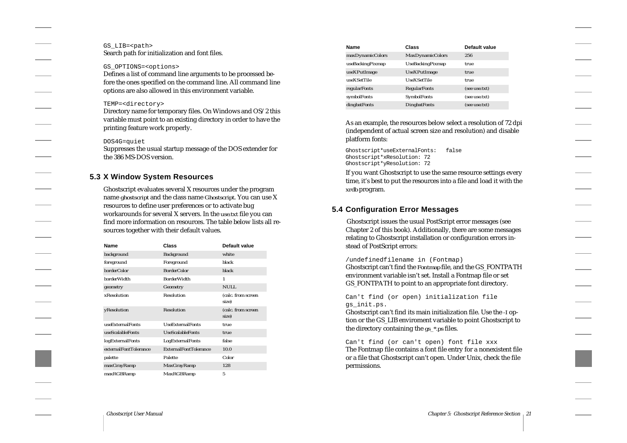#### GS\_LIB=<path> Search path for initialization and font files.

#### GS\_OPTIONS=<options>

Defines a list of command line arguments to be processed before the ones specified on the command line. All command line options are also allowed in this environment variable.

#### TEMP=<directory>

Directory name for temporary files. On Windows and OS/2 this variable must point to an existing directory in order to have the printing feature work properly.

#### DOS4G=quiet

Suppresses the usual startup message of the DOS extender for the 386 MS-DOS version.

### **5.3 X Window System Resources**

Ghostscript evaluates several X resources under the program name *ghostscript* and the class name *Ghostscript*. You can use X resources to define user preferences or to activate bug workarounds for several X servers. In the *use.txt* file you can find more information on resources. The table below lists all resources together with their default values.

| <b>Name</b>             | <b>Class</b>                 | Default value               |
|-------------------------|------------------------------|-----------------------------|
| background              | <b>Background</b>            | white                       |
| foreground              | Foreground                   | black                       |
| <b>borderColor</b>      | <b>BorderColor</b>           | black                       |
| <b>borderWidth</b>      | <b>BorderWidth</b>           | 1                           |
| geometry                | <b>Geometry</b>              | <b>NULL</b>                 |
| xResolution             | <b>Resolution</b>            | (calc. from screen<br>size) |
| yResolution             | <b>Resolution</b>            | (calc. from screen<br>size) |
| <i>useExternalFonts</i> | <b>UseExternalFonts</b>      | true                        |
| useScalableFonts        | <b>UseScalableFonts</b>      | true                        |
| logExternalFonts        | LogExternalFonts             | false                       |
| externalFontTolerance   | <b>ExternalFontTolerance</b> | 10.0                        |
| palette                 | Palette                      | Color                       |
| maxGrayRamp             | <b>MaxGrayRamp</b>           | 128                         |
| maxRGBRamp              | <b>MaxRGBRamp</b>            | 5                           |

| Name             | Class                   | Default value |
|------------------|-------------------------|---------------|
| maxDynamicColors | <b>MaxDynamicColors</b> | 256           |
| useBackingPixmap | <b>UseBackingPixmap</b> | true          |
| useXPutImage     | <b>UseXPutImage</b>     | true          |
| useXSetTile      | <b>UseXSetTile</b>      | true          |
| regularFonts     | <b>RegularFonts</b>     | (see use.txt) |
| symbolFonts      | <b>SymbolFonts</b>      | (see use.txt) |
| dingbatFonts     | <b>DingbatFonts</b>     | (see use.txt) |
|                  |                         |               |

As an example, the resources below select a resolution of 72 dpi (independent of actual screen size and resolution) and disable platform fonts:

Ghostscript\*useExternalFonts: false Ghostscript\*xResolution: 72 Ghostscript\*yResolution: 72

If you want Ghostscript to use the same resource settings every time, it's best to put the resources into a file and load it with the *xrdb* program.

## **5.4 Configuration Error Messages**

Ghostscript issues the usual PostScript error messages (see Chapter 2 of this book). Additionally, there are some messages relating to Ghostscript installation or configuration errors instead of PostScript errors:

/undefinedfilename in (Fontmap) Ghostscript can't find the *Fontmap* file, and the GS\_FONTPATH environment variable isn't set. Install a Fontmap file or set GS FONTPATH to point to an appropriate font directory.

Can't find (or open) initialization file gs\_init.ps.

Ghostscript can't find its main initialization file. Use the *-I* option or the GS\_LIB enviroment variable to point Ghostscript to the directory containing the *gs\_\*.ps* files.

Can't find (or can't open) font file xxx The Fontmap file contains a font file entry for a nonexistent file or a file that Ghostscript can't open. Under Unix, check the file permissions.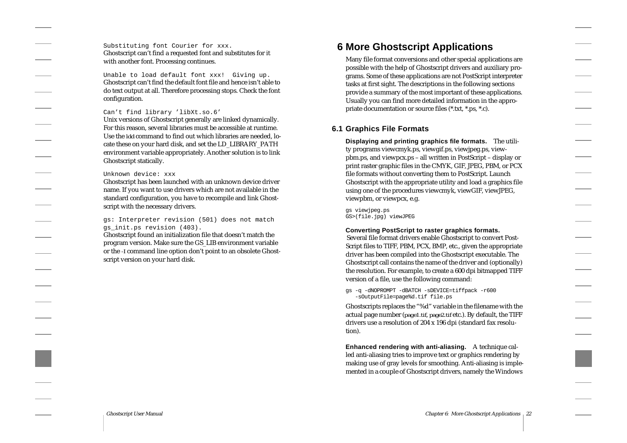<span id="page-21-0"></span>

Substituting font Courier for xxx. Ghostscript can't find a requested font and substitutes for it with another font. Processing continues.

Unable to load default font xxx! Giving up. Ghostscript can't find the default font file and hence isn't able to do text output at all. Therefore processing stops. Check the font configuration.

#### Can't find library 'libXt.so.6'

Unix versions of Ghostscript generally are linked dynamically. For this reason, several libraries must be accessible at runtime. Use the *ldd* command to find out which libraries are needed, locate these on your hard disk, and set the LD\_LIBRARY\_PATH environment variable appropriately. Another solution is to link Ghostscript statically.

#### Unknown device: xxx

Ghostscript has been launched with an unknown device driver name. If you want to use drivers which are not available in the standard configuration, you have to recompile and link Ghostscript with the necessary drivers.

gs: Interpreter revision (501) does not match gs\_init.ps revision (403).

Ghostscript found an initialization file that doesn't match the program version. Make sure the GS\_LIB environment variable or the *-I* command line option don't point to an obsolete Ghostscript version on your hard disk.

## **6 More Ghostscript Applications**

Many file format conversions and other special applications are possible with the help of Ghostscript drivers and auxiliary programs. Some of these applications are not PostScript interpreter tasks at first sight. The descriptions in the following sections provide a summary of the most important of these applications. Usually you can find more detailed information in the appropriate documentation or source files (\*.txt, \*.ps, \*.c).

## **6.1 Graphics File Formats**

**Displaying and printing graphics file formats.** The utility programs viewcmyk.ps, viewgif.ps, viewjpeg.ps, viewpbm.ps, and viewpcx.ps – all written in PostScript – display or print raster graphic files in the CMYK, GIF, JPEG, PBM, or PCX file formats without converting them to PostScript. Launch Ghostscript with the appropriate utility and load a graphics file using one of the procedures viewcmyk, viewGIF, viewJPEG, viewpbm, or viewpcx, e.g.

gs viewjpeg.ps GS>(file.jpg) viewJPEG

#### **Converting PostScript to raster graphics formats.**

Several file format drivers enable Ghostscript to convert Post-Script files to TIFF, PBM, PCX, BMP, etc., given the appropriate driver has been compiled into the Ghostscript executable. The Ghostscript call contains the name of the driver and (optionally) the resolution. For example, to create a 600 dpi bitmapped TIFF version of a file, use the following command:

```
gs -q -dNOPROMPT -dBATCH -sDEVICE=tiffpack -r600
-sOutputFile=page%d.tif file.ps
```
Ghostscripts replaces the "%d" variable in the filename with the actual page number (*page1.tif*, *page2.tif* etc.). By default, the TIFF drivers use a resolution of 204 x 196 dpi (standard fax resolution).

**Enhanced rendering with anti-aliasing.** A technique called anti-aliasing tries to improve text or graphics rendering by making use of gray levels for smoothing. Anti-aliasing is implemented in a couple of Ghostscript drivers, namely the Windows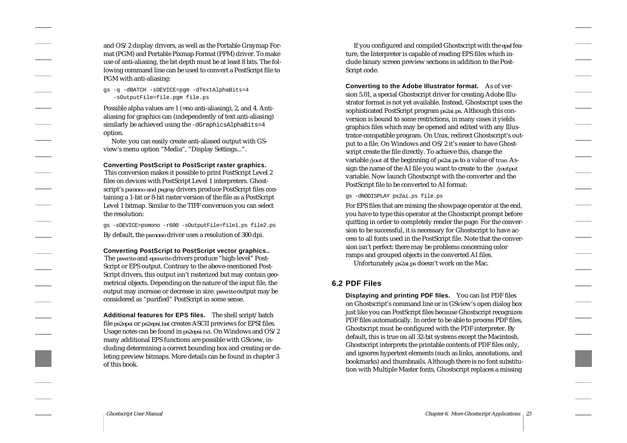and OS/2 display drivers, as well as the Portable Graymap Format (PGM) and Portable Pixmap Format (PPM) driver. To make use of anti-aliasing, the bit depth must be at least 8 bits. The following command line can be used to convert a PostScript file to PGM with anti-aliasing:

gs -q -dBATCH -sDEVICE=pgm -dTextAlphaBits=4 -sOutputFile=file.pgm file.ps

Possible alpha values are 1 (=no anti-aliasing), 2, and 4. Antialiasing for graphics can (independently of text anti-aliasing) similarly be achieved using the -dGraphicsAlphaBits=4 option.

Note: you can easily create anti-aliased output with GSview's menu option "Media", "Display Settings...".

#### **Converting PostScript to PostScript raster graphics.**

This conversion makes it possible to print PostScript Level 2 files on devices with PostScript Level 1 interpreters. Ghostscript's *psmono and psgray* drivers produce PostScript files containing a 1-bit or 8-bit raster version of the file as a PostScript Level 1 bitmap. Similar to the TIFF conversion you can select the resolution:

gs -sDEVICE=psmono -r600 -sOutputFile=file1.ps file2.ps By default, the *psmono* driver uses a resolution of 300 dpi.

#### **Converting PostScript to PostScript vector graphics..**

The *pswrite* and *epswrite* drivers produce "high-level" Post-Script or EPS output. Contrary to the above-mentioned Post-Script drivers, this output isn't rasterized but may contain geometrical objects. Depending on the nature of the input file, the output may increase or decrease in size. *pswrite* output may be considered as "purified" PostScript in some sense.

**Additional features for EPS files.** The shell script/batch file *ps2epsi* or *ps2epsi.bat* creates ASCII previews for EPSI files. Usage notes can be found in *ps2epsi.txt.* On Windows and OS/2 many additional EPS functions are possible with GSview, including determining a correct bounding box and creating or deleting preview bitmaps. More details can be found in chapter 3 of this book.

If you configured and compiled Ghostscript with the *epsf* feature, the Interpreter is capable of reading EPS files which include binary screen preview sections in addition to the Post-Script code.

**Converting to the Adobe Illustrator format.** As of version 5.01, a special Ghostscript driver for creating Adobe Illustrator format is not yet available. Instead, Ghostscript uses the sophisticated PostScript program *ps2ai.ps*. Although this conversion is bound to some restrictions, in many cases it yields graphics files which may be opened and edited with any Illustrator-compatible program. On Unix, redirect Ghostscript's output to a file. On Windows and OS/2 it's easier to have Ghostscript create the file directly. To achieve this, change the variable */jout* at the beginning of *ps2ai.ps* to a value of *true*. Assign the name of the AI file you want to create to the */joutput*  variable. Now launch Ghostscript with the converter and the PostScript file to be converted to AI format:

#### gs -dNODISPLAY ps2ai.ps file.ps

For EPS files that are missing the showpage operator at the end, you have to type this operator at the Ghostscript prompt before quitting in order to completely render the page. For the conversion to be successful, it is necessary for Ghostscript to have access to all fonts used in the PostScript file. Note that the conversion isn't perfect: there may be problems concerning color ramps and grouped objects in the converted AI files.

Unfortunately *ps2ai.ps* doesn't work on the Mac.

## **6.2 PDF Files**

**Displaying and printing PDF files.** You can list PDF files on Ghostscript's command line or in GSview's open dialog box just like you can PostScript files because Ghostscript recognizes PDF files automatically. In order to be able to process PDF files, Ghostscript must be configured with the PDF interpreter. By default, this is true on all 32-bit systems except the Macintosh. Ghostscript interprets the printable contents of PDF files only, and ignores hypertext elements (such as links, annotations, and bookmarks) and thumbnails. Although there is no font substitution with Multiple Master fonts, Ghostscript replaces a missing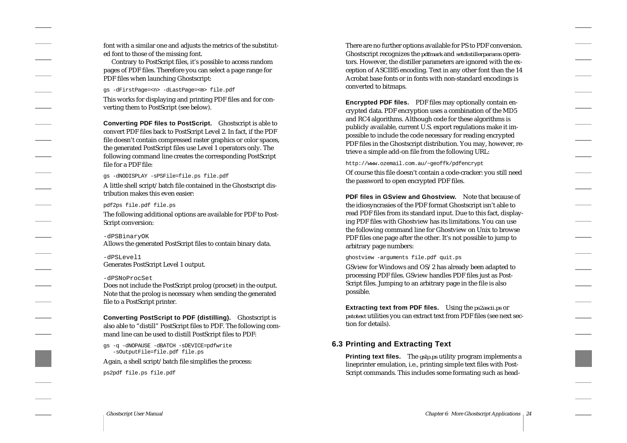font with a similar one and adjusts the metrics of the substituted font to those of the missing font.

Contrary to PostScript files, it's possible to access random pages of PDF files. Therefore you can select a page range for PDF files when launching Ghostscript:

gs -dFirstPage=<n> -dLastPage=<m> file.pdf

This works for displaying and printing PDF files and for converting them to PostScript (see below).

**Converting PDF files to PostScript.** Ghostscript is able to convert PDF files back to PostScript Level 2. In fact, if the PDF file doesn't contain compressed raster graphics or color spaces, the generated PostScript files use Level 1 operators only. The following command line creates the corresponding PostScript file for a PDF file:

#### gs -dNODISPLAY -sPSFile=file.ps file.pdf

A little shell script/batch file contained in the Ghostscript distribution makes this even easier:

#### pdf2ps file.pdf file.ps

The following additional options are available for PDF to Post-Script conversion:

-dPSBinaryOK

Allows the generated PostScript files to contain binary data.

-dPSLevel1Generates PostScript Level 1 output.

#### -dPSNoProcSet

Does not include the PostScript prolog (procset) in the output. Note that the prolog is necessary when sending the generated file to a PostScript printer.

**Converting PostScript to PDF (distilling).** Ghostscript is also able to "distill" PostScript files to PDF. The following command line can be used to distill PostScript files to PDF:

gs -q -dNOPAUSE -dBATCH -sDEVICE=pdfwrite -sOutputFile=file.pdf file.ps

Again, a shell script/batch file simplifies the process:

ps2pdf file.ps file.pdf

There are no further options available for PS to PDF conversion. Ghostscript recognizes the *pdfmark* and *setdistillerparams* operators. However, the distiller parameters are ignored with the exception of ASCII85 encoding. Text in any other font than the 14 Acrobat base fonts or in fonts with non-standard encodings is converted to bitmaps.

**Encrypted PDF files.** PDF files may optionally contain encrypted data. PDF encryption uses a combination of the MD5 and RC4 algorithms. Although code for these algorithms is publicly available, current U.S. export regulations make it impossible to include the code necessary for reading encrypted PDF files in the Ghostscript distribution. You may, however, retrieve a simple add-on file from the following URL:

#### http://www.ozemail.com.au/~geoffk/pdfencrypt

Of course this file doesn't contain a code-cracker: you still need the password to open encrypted PDF files.

**PDF files in GSview and Ghostview.** Note that because of the idiosyncrasies of the PDF format Ghostscript isn't able to read PDF files from its standard input. Due to this fact, displaying PDF files with Ghostview has its limitations. You can use the following command line for Ghostview on Unix to browse PDF files one page after the other. It's not possible to jump to arbitrary page numbers:

#### ghostview -arguments file.pdf quit.ps

GSview for Windows and OS/2 has already been adapted to processing PDF files. GSview handles PDF files just as Post-Script files. Jumping to an arbitrary page in the file is also possible.

**Extracting text from PDF files.** Using the *ps2ascii.ps* or *pstotext* utilities you can extract text from PDF files (see next section for details).

## **6.3 Printing and Extracting Text**

**Printing text files.** The *gslp.ps* utility program implements a lineprinter emulation, i.e., printing simple text files with Post-Script commands. This includes some formating such as head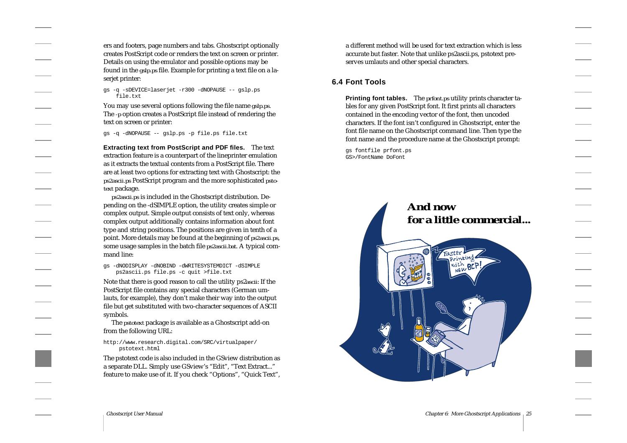ers and footers, page numbers and tabs. Ghostscript optionally creates PostScript code or renders the text on screen or printer. Details on using the emulator and possible options may be found in the *gslp.ps* file. Example for printing a text file on a laserjet printer:

gs -q -sDEVICE=laserjet -r300 -dNOPAUSE -- gslp.ps file.txt

You may use several options following the file name *gslp.ps.* The *-p* option creates a PostScript file instead of rendering the text on screen or printer:

gs -q -dNOPAUSE -- gslp.ps -p file.ps file.txt

**Extracting text from PostScript and PDF files.** The text extraction feature is a counterpart of the lineprinter emulation as it extracts the textual contents from a PostScript file. There are at least two options for extracting text with Ghostscript: the *ps2ascii.ps* PostScript program and the more sophisticated *pstotext* package.

*ps2ascii.ps* is included in the Ghostscript distribution. Depending on the -dSIMPLE option, the utility creates simple or complex output. Simple output consists of text only, whereas complex output additionally contains information about font type and string positions. The positions are given in tenth of a point. More details may be found at the beginning of *ps2ascii.ps*, some usage samples in the batch file *ps2ascii.bat*. A typical command line:

gs -dNODISPLAY -dNOBIND -dWRITESYSTEMDICT -dSIMPLE ps2ascii.ps file.ps -c quit >file.txt

Note that there is good reason to call the utility ps2*ascii*: If the PostScript file contains any special characters (German umlauts, for example), they don't make their way into the output file but get substituted with two-character sequences of ASCII symbols.

The *pstotext* package is available as a Ghostscript add-on from the following URL:

http://www.research.digital.com/SRC/virtualpaper/ pstotext.html

The pstotext code is also included in the GSview distribution as a separate DLL. Simply use GSview's "Edit", "Text Extract..." feature to make use of it. If you check "Options", "Quick Text",

a different method will be used for text extraction which is less accurate but faster. Note that unlike ps2ascii.ps, pstotext preserves umlauts and other special characters.

## **6.4 Font Tools**

**Printing font tables.** The *prfont.ps* utility prints character tables for any given PostScript font. It first prints all characters contained in the encoding vector of the font, then uncoded characters. If the font isn't configured in Ghostscript, enter the font file name on the Ghostscript command line. Then type the font name and the procedure name at the Ghostscript prompt:

gs fontfile prfont.ps GS>/FontName DoFont

## **And nowfor a little commercial...**